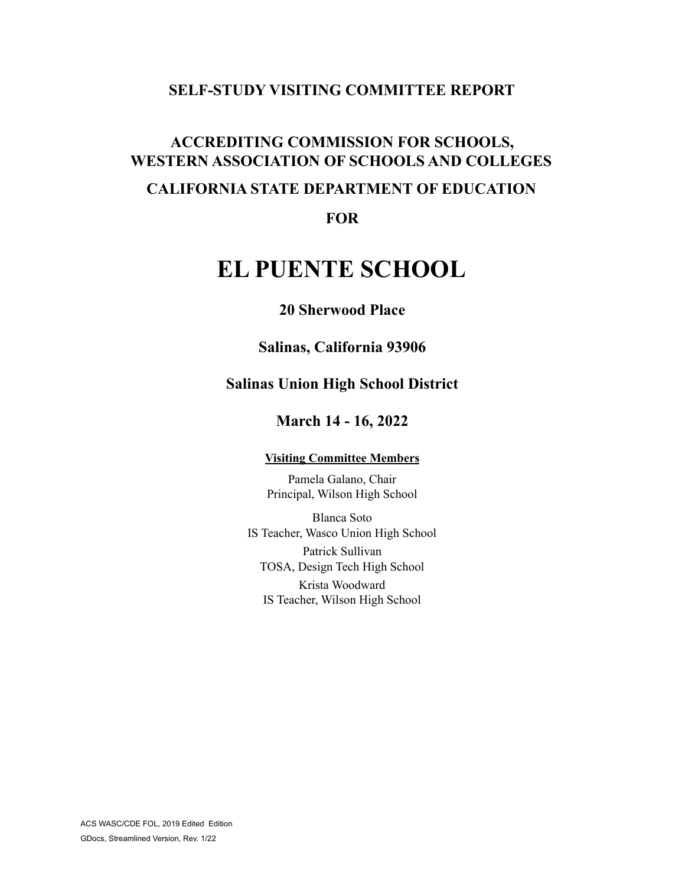# **SELF-STUDY VISITING COMMITTEE REPORT**

# **ACCREDITING COMMISSION FOR SCHOOLS, WESTERN ASSOCIATION OF SCHOOLS AND COLLEGES CALIFORNIA STATE DEPARTMENT OF EDUCATION**

**FOR**

# **EL PUENTE SCHOOL**

# **20 Sherwood Place**

**Salinas, California 93906**

# **Salinas Union High School District**

# **March 14 - 16, 2022**

#### **Visiting Committee Members**

Pamela Galano, Chair Principal, Wilson High School

Blanca Soto IS Teacher, Wasco Union High School Patrick Sullivan TOSA, Design Tech High School Krista Woodward IS Teacher, Wilson High School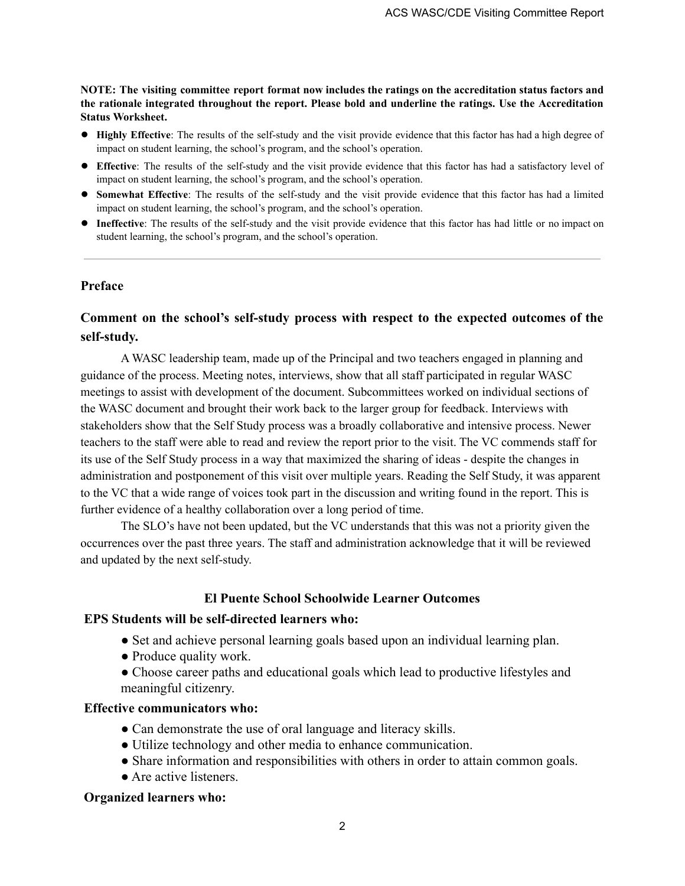**NOTE: The visiting committee report format now includes the ratings on the accreditation status factors and the rationale integrated throughout the report. Please bold and underline the ratings. Use the Accreditation Status Worksheet.**

- **● Highly Effective**: The results of the self-study and the visit provide evidence that this factor has had a high degree of impact on student learning, the school's program, and the school's operation.
- **● Effective**: The results of the self-study and the visit provide evidence that this factor has had a satisfactory level of impact on student learning, the school's program, and the school's operation.
- **● Somewhat Effective**: The results of the self-study and the visit provide evidence that this factor has had a limited impact on student learning, the school's program, and the school's operation.
- **● Ineffective**: The results of the self-study and the visit provide evidence that this factor has had little or no impact on student learning, the school's program, and the school's operation.

#### **Preface**

### **Comment on the school's self-study process with respect to the expected outcomes of the self-study.**

A WASC leadership team, made up of the Principal and two teachers engaged in planning and guidance of the process. Meeting notes, interviews, show that all staff participated in regular WASC meetings to assist with development of the document. Subcommittees worked on individual sections of the WASC document and brought their work back to the larger group for feedback. Interviews with stakeholders show that the Self Study process was a broadly collaborative and intensive process. Newer teachers to the staff were able to read and review the report prior to the visit. The VC commends staff for its use of the Self Study process in a way that maximized the sharing of ideas - despite the changes in administration and postponement of this visit over multiple years. Reading the Self Study, it was apparent to the VC that a wide range of voices took part in the discussion and writing found in the report. This is further evidence of a healthy collaboration over a long period of time.

The SLO's have not been updated, but the VC understands that this was not a priority given the occurrences over the past three years. The staff and administration acknowledge that it will be reviewed and updated by the next self-study.

### **El Puente School Schoolwide Learner Outcomes**

#### **EPS Students will be self-directed learners who:**

- Set and achieve personal learning goals based upon an individual learning plan.
- Produce quality work.
- Choose career paths and educational goals which lead to productive lifestyles and meaningful citizenry.

#### **Effective communicators who:**

- Can demonstrate the use of oral language and literacy skills.
- Utilize technology and other media to enhance communication.
- Share information and responsibilities with others in order to attain common goals.
- Are active listeners.

#### **Organized learners who:**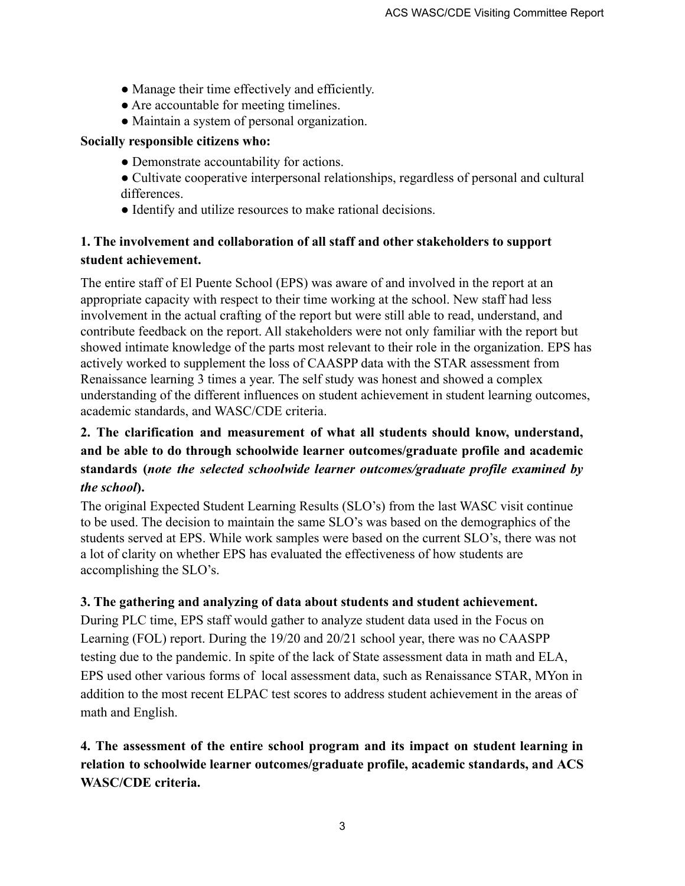- Manage their time effectively and efficiently.
- Are accountable for meeting timelines.
- Maintain a system of personal organization.

### **Socially responsible citizens who:**

- Demonstrate accountability for actions.
- Cultivate cooperative interpersonal relationships, regardless of personal and cultural differences.
- Identify and utilize resources to make rational decisions.

# **1. The involvement and collaboration of all staff and other stakeholders to support student achievement.**

The entire staff of El Puente School (EPS) was aware of and involved in the report at an appropriate capacity with respect to their time working at the school. New staff had less involvement in the actual crafting of the report but were still able to read, understand, and contribute feedback on the report. All stakeholders were not only familiar with the report but showed intimate knowledge of the parts most relevant to their role in the organization. EPS has actively worked to supplement the loss of CAASPP data with the STAR assessment from Renaissance learning 3 times a year. The self study was honest and showed a complex understanding of the different influences on student achievement in student learning outcomes, academic standards, and WASC/CDE criteria.

# **2. The clarification and measurement of what all students should know, understand, and be able to do through schoolwide learner outcomes/graduate profile and academic standards (***note the selected schoolwide learner outcomes/graduate profile examined by the school***).**

The original Expected Student Learning Results (SLO's) from the last WASC visit continue to be used. The decision to maintain the same SLO's was based on the demographics of the students served at EPS. While work samples were based on the current SLO's, there was not a lot of clarity on whether EPS has evaluated the effectiveness of how students are accomplishing the SLO's.

### **3. The gathering and analyzing of data about students and student achievement.**

During PLC time, EPS staff would gather to analyze student data used in the Focus on Learning (FOL) report. During the 19/20 and 20/21 school year, there was no CAASPP testing due to the pandemic. In spite of the lack of State assessment data in math and ELA, EPS used other various forms of local assessment data, such as Renaissance STAR, MYon in addition to the most recent ELPAC test scores to address student achievement in the areas of math and English.

# **4. The assessment of the entire school program and its impact on student learning in relation to schoolwide learner outcomes/graduate profile, academic standards, and ACS WASC/CDE criteria.**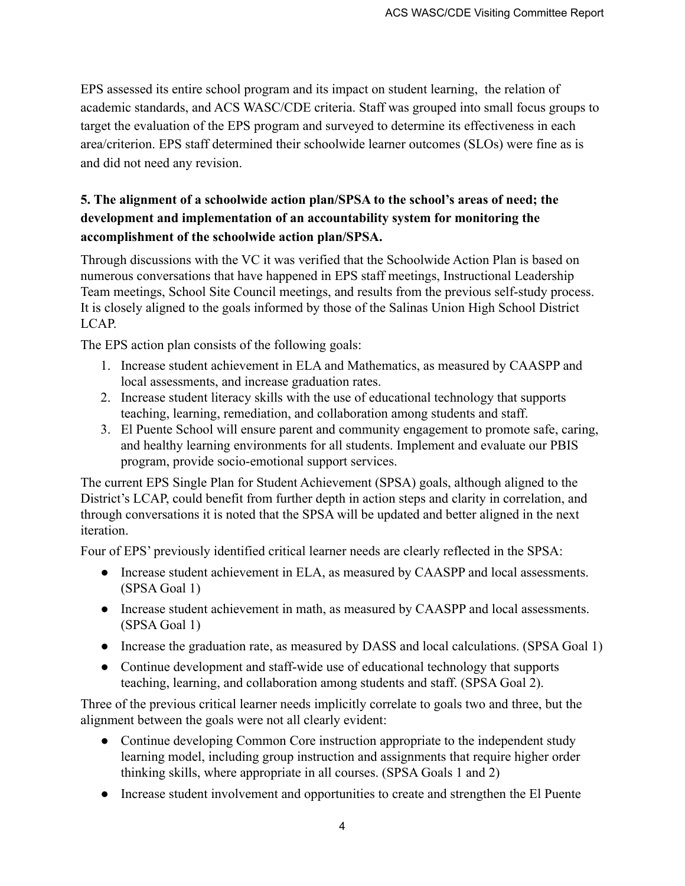EPS assessed its entire school program and its impact on student learning, the relation of academic standards, and ACS WASC/CDE criteria. Staff was grouped into small focus groups to target the evaluation of the EPS program and surveyed to determine its effectiveness in each area/criterion. EPS staff determined their schoolwide learner outcomes (SLOs) were fine as is and did not need any revision.

# **5. The alignment of a schoolwide action plan/SPSA to the school's areas of need; the development and implementation of an accountability system for monitoring the accomplishment of the schoolwide action plan/SPSA.**

Through discussions with the VC it was verified that the Schoolwide Action Plan is based on numerous conversations that have happened in EPS staff meetings, Instructional Leadership Team meetings, School Site Council meetings, and results from the previous self-study process. It is closely aligned to the goals informed by those of the Salinas Union High School District LCAP.

The EPS action plan consists of the following goals:

- 1. Increase student achievement in ELA and Mathematics, as measured by CAASPP and local assessments, and increase graduation rates.
- 2. Increase student literacy skills with the use of educational technology that supports teaching, learning, remediation, and collaboration among students and staff.
- 3. El Puente School will ensure parent and community engagement to promote safe, caring, and healthy learning environments for all students. Implement and evaluate our PBIS program, provide socio-emotional support services.

The current EPS Single Plan for Student Achievement (SPSA) goals, although aligned to the District's LCAP, could benefit from further depth in action steps and clarity in correlation, and through conversations it is noted that the SPSA will be updated and better aligned in the next iteration.

Four of EPS' previously identified critical learner needs are clearly reflected in the SPSA:

- Increase student achievement in ELA, as measured by CAASPP and local assessments. (SPSA Goal 1)
- Increase student achievement in math, as measured by CAASPP and local assessments. (SPSA Goal 1)
- Increase the graduation rate, as measured by DASS and local calculations. (SPSA Goal 1)
- Continue development and staff-wide use of educational technology that supports teaching, learning, and collaboration among students and staff. (SPSA Goal 2).

Three of the previous critical learner needs implicitly correlate to goals two and three, but the alignment between the goals were not all clearly evident:

- Continue developing Common Core instruction appropriate to the independent study learning model, including group instruction and assignments that require higher order thinking skills, where appropriate in all courses. (SPSA Goals 1 and 2)
- Increase student involvement and opportunities to create and strengthen the El Puente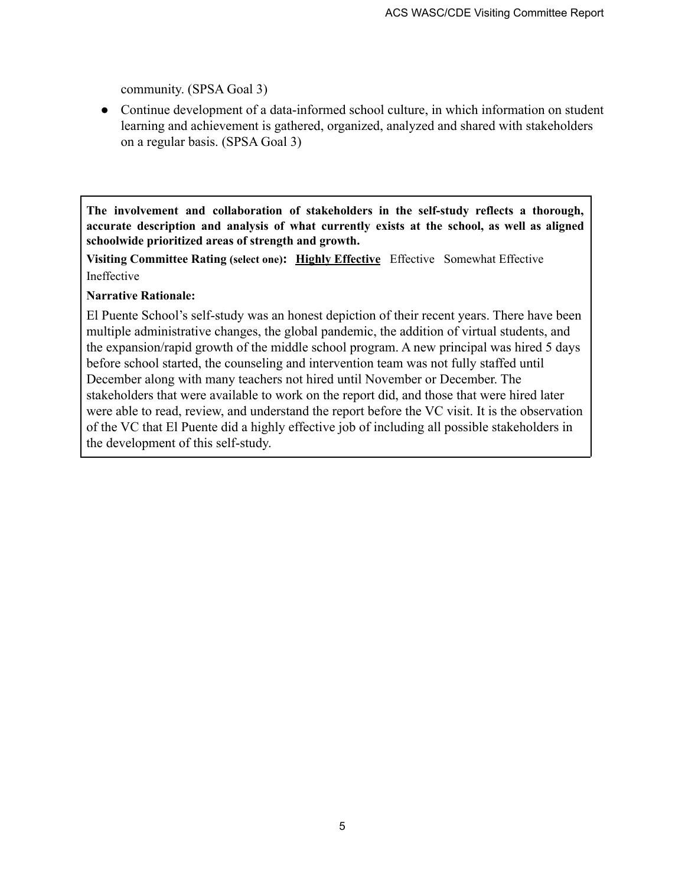community. (SPSA Goal 3)

• Continue development of a data-informed school culture, in which information on student learning and achievement is gathered, organized, analyzed and shared with stakeholders on a regular basis. (SPSA Goal 3)

**The involvement and collaboration of stakeholders in the self-study reflects a thorough, accurate description and analysis of what currently exists at the school, as well as aligned schoolwide prioritized areas of strength and growth.**

**Visiting Committee Rating (select one): Highly Effective** Effective Somewhat Effective Ineffective

### **Narrative Rationale:**

El Puente School's self-study was an honest depiction of their recent years. There have been multiple administrative changes, the global pandemic, the addition of virtual students, and the expansion/rapid growth of the middle school program. A new principal was hired 5 days before school started, the counseling and intervention team was not fully staffed until December along with many teachers not hired until November or December. The stakeholders that were available to work on the report did, and those that were hired later were able to read, review, and understand the report before the VC visit. It is the observation of the VC that El Puente did a highly effective job of including all possible stakeholders in the development of this self-study.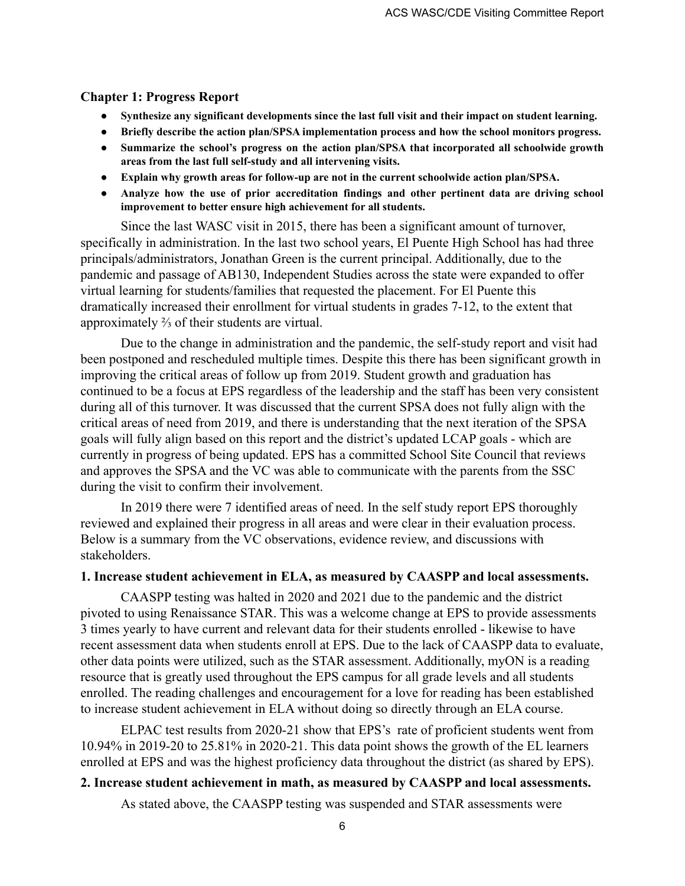#### **Chapter 1: Progress Report**

- **● Synthesize any significant developments since the last full visit and their impact on student learning.**
- **● Briefly describe the action plan/SPSA implementation process and how the school monitors progress.**
- **● Summarize the school's progress on the action plan/SPSA that incorporated all schoolwide growth areas from the last full self-study and all intervening visits.**
- **● Explain why growth areas for follow-up are not in the current schoolwide action plan/SPSA.**
- **● Analyze how the use of prior accreditation findings and other pertinent data are driving school improvement to better ensure high achievement for all students.**

Since the last WASC visit in 2015, there has been a significant amount of turnover, specifically in administration. In the last two school years, El Puente High School has had three principals/administrators, Jonathan Green is the current principal. Additionally, due to the pandemic and passage of AB130, Independent Studies across the state were expanded to offer virtual learning for students/families that requested the placement. For El Puente this dramatically increased their enrollment for virtual students in grades 7-12, to the extent that approximately ⅔ of their students are virtual.

Due to the change in administration and the pandemic, the self-study report and visit had been postponed and rescheduled multiple times. Despite this there has been significant growth in improving the critical areas of follow up from 2019. Student growth and graduation has continued to be a focus at EPS regardless of the leadership and the staff has been very consistent during all of this turnover. It was discussed that the current SPSA does not fully align with the critical areas of need from 2019, and there is understanding that the next iteration of the SPSA goals will fully align based on this report and the district's updated LCAP goals - which are currently in progress of being updated. EPS has a committed School Site Council that reviews and approves the SPSA and the VC was able to communicate with the parents from the SSC during the visit to confirm their involvement.

In 2019 there were 7 identified areas of need. In the self study report EPS thoroughly reviewed and explained their progress in all areas and were clear in their evaluation process. Below is a summary from the VC observations, evidence review, and discussions with stakeholders.

#### **1. Increase student achievement in ELA, as measured by CAASPP and local assessments.**

CAASPP testing was halted in 2020 and 2021 due to the pandemic and the district pivoted to using Renaissance STAR. This was a welcome change at EPS to provide assessments 3 times yearly to have current and relevant data for their students enrolled - likewise to have recent assessment data when students enroll at EPS. Due to the lack of CAASPP data to evaluate, other data points were utilized, such as the STAR assessment. Additionally, myON is a reading resource that is greatly used throughout the EPS campus for all grade levels and all students enrolled. The reading challenges and encouragement for a love for reading has been established to increase student achievement in ELA without doing so directly through an ELA course.

ELPAC test results from 2020-21 show that EPS's rate of proficient students went from 10.94% in 2019-20 to 25.81% in 2020-21. This data point shows the growth of the EL learners enrolled at EPS and was the highest proficiency data throughout the district (as shared by EPS).

#### **2. Increase student achievement in math, as measured by CAASPP and local assessments.**

As stated above, the CAASPP testing was suspended and STAR assessments were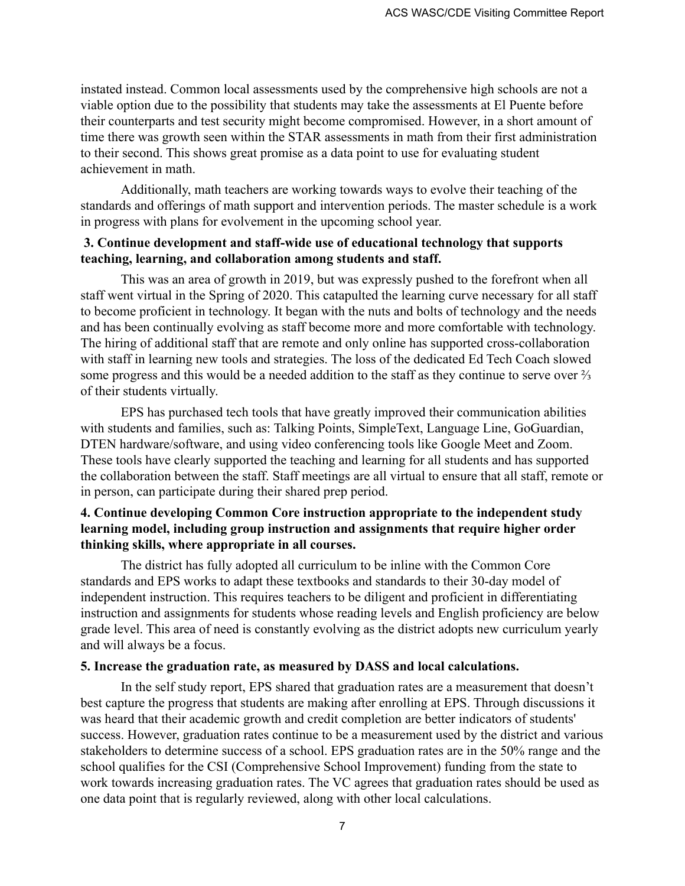instated instead. Common local assessments used by the comprehensive high schools are not a viable option due to the possibility that students may take the assessments at El Puente before their counterparts and test security might become compromised. However, in a short amount of time there was growth seen within the STAR assessments in math from their first administration to their second. This shows great promise as a data point to use for evaluating student achievement in math.

Additionally, math teachers are working towards ways to evolve their teaching of the standards and offerings of math support and intervention periods. The master schedule is a work in progress with plans for evolvement in the upcoming school year.

### **3. Continue development and staff-wide use of educational technology that supports teaching, learning, and collaboration among students and staff.**

This was an area of growth in 2019, but was expressly pushed to the forefront when all staff went virtual in the Spring of 2020. This catapulted the learning curve necessary for all staff to become proficient in technology. It began with the nuts and bolts of technology and the needs and has been continually evolving as staff become more and more comfortable with technology. The hiring of additional staff that are remote and only online has supported cross-collaboration with staff in learning new tools and strategies. The loss of the dedicated Ed Tech Coach slowed some progress and this would be a needed addition to the staff as they continue to serve over <sup>2</sup>/<sub>3</sub> of their students virtually.

EPS has purchased tech tools that have greatly improved their communication abilities with students and families, such as: Talking Points, SimpleText, Language Line, GoGuardian, DTEN hardware/software, and using video conferencing tools like Google Meet and Zoom. These tools have clearly supported the teaching and learning for all students and has supported the collaboration between the staff. Staff meetings are all virtual to ensure that all staff, remote or in person, can participate during their shared prep period.

# **4. Continue developing Common Core instruction appropriate to the independent study learning model, including group instruction and assignments that require higher order thinking skills, where appropriate in all courses.**

The district has fully adopted all curriculum to be inline with the Common Core standards and EPS works to adapt these textbooks and standards to their 30-day model of independent instruction. This requires teachers to be diligent and proficient in differentiating instruction and assignments for students whose reading levels and English proficiency are below grade level. This area of need is constantly evolving as the district adopts new curriculum yearly and will always be a focus.

### **5. Increase the graduation rate, as measured by DASS and local calculations.**

In the self study report, EPS shared that graduation rates are a measurement that doesn't best capture the progress that students are making after enrolling at EPS. Through discussions it was heard that their academic growth and credit completion are better indicators of students' success. However, graduation rates continue to be a measurement used by the district and various stakeholders to determine success of a school. EPS graduation rates are in the 50% range and the school qualifies for the CSI (Comprehensive School Improvement) funding from the state to work towards increasing graduation rates. The VC agrees that graduation rates should be used as one data point that is regularly reviewed, along with other local calculations.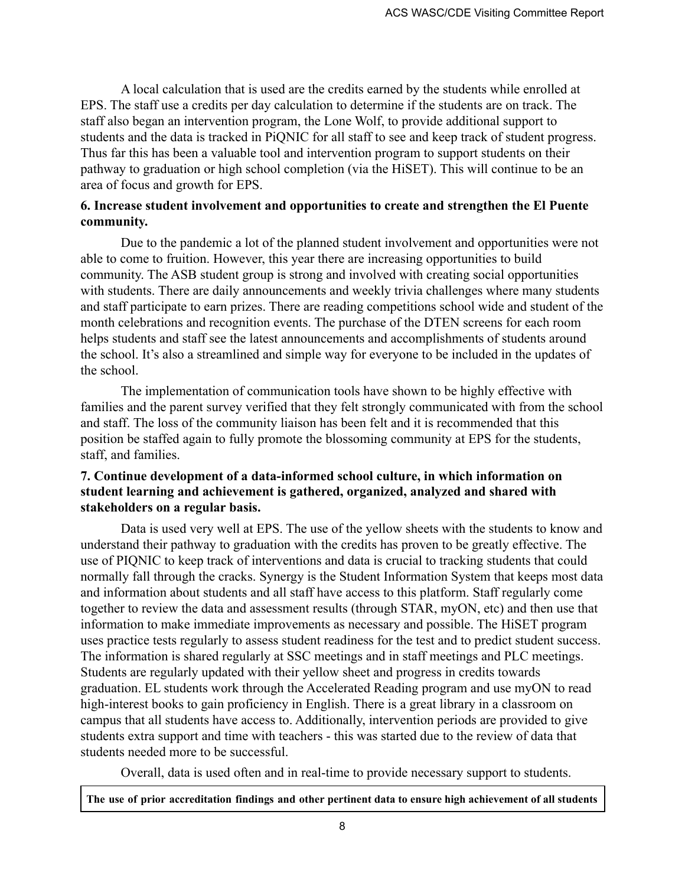A local calculation that is used are the credits earned by the students while enrolled at EPS. The staff use a credits per day calculation to determine if the students are on track. The staff also began an intervention program, the Lone Wolf, to provide additional support to students and the data is tracked in PiQNIC for all staff to see and keep track of student progress. Thus far this has been a valuable tool and intervention program to support students on their pathway to graduation or high school completion (via the HiSET). This will continue to be an area of focus and growth for EPS.

### **6. Increase student involvement and opportunities to create and strengthen the El Puente community.**

Due to the pandemic a lot of the planned student involvement and opportunities were not able to come to fruition. However, this year there are increasing opportunities to build community. The ASB student group is strong and involved with creating social opportunities with students. There are daily announcements and weekly trivia challenges where many students and staff participate to earn prizes. There are reading competitions school wide and student of the month celebrations and recognition events. The purchase of the DTEN screens for each room helps students and staff see the latest announcements and accomplishments of students around the school. It's also a streamlined and simple way for everyone to be included in the updates of the school.

The implementation of communication tools have shown to be highly effective with families and the parent survey verified that they felt strongly communicated with from the school and staff. The loss of the community liaison has been felt and it is recommended that this position be staffed again to fully promote the blossoming community at EPS for the students, staff, and families.

# **7. Continue development of a data-informed school culture, in which information on student learning and achievement is gathered, organized, analyzed and shared with stakeholders on a regular basis.**

Data is used very well at EPS. The use of the yellow sheets with the students to know and understand their pathway to graduation with the credits has proven to be greatly effective. The use of PIQNIC to keep track of interventions and data is crucial to tracking students that could normally fall through the cracks. Synergy is the Student Information System that keeps most data and information about students and all staff have access to this platform. Staff regularly come together to review the data and assessment results (through STAR, myON, etc) and then use that information to make immediate improvements as necessary and possible. The HiSET program uses practice tests regularly to assess student readiness for the test and to predict student success. The information is shared regularly at SSC meetings and in staff meetings and PLC meetings. Students are regularly updated with their yellow sheet and progress in credits towards graduation. EL students work through the Accelerated Reading program and use myON to read high-interest books to gain proficiency in English. There is a great library in a classroom on campus that all students have access to. Additionally, intervention periods are provided to give students extra support and time with teachers - this was started due to the review of data that students needed more to be successful.

Overall, data is used often and in real-time to provide necessary support to students.

The use of prior accreditation findings and other pertinent data to ensure high achievement of all students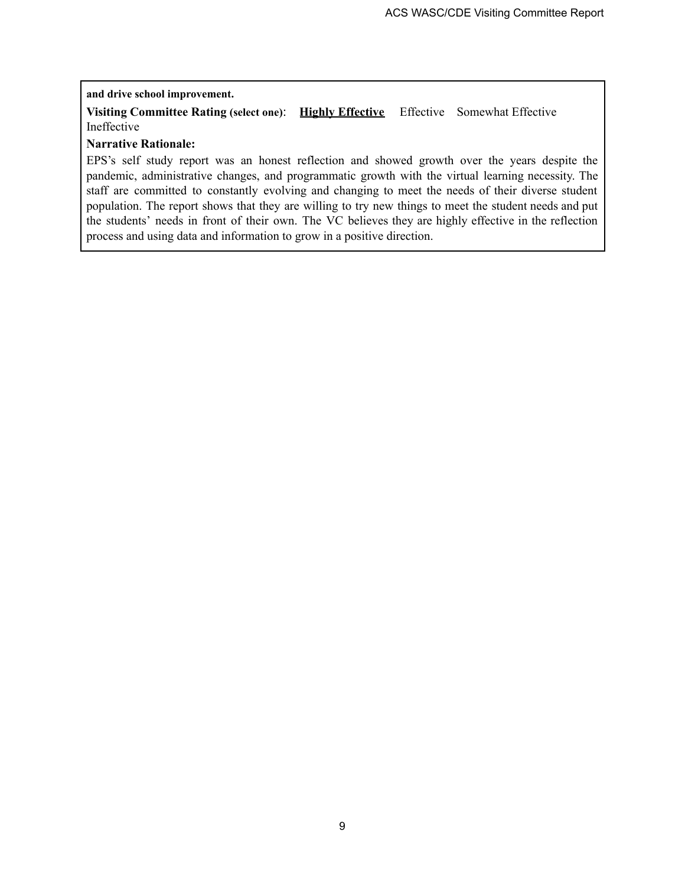#### **and drive school improvement.**

**Visiting Committee Rating (select one)**: **Highly Effective** Effective Somewhat Effective Ineffective

#### **Narrative Rationale:**

EPS's self study report was an honest reflection and showed growth over the years despite the pandemic, administrative changes, and programmatic growth with the virtual learning necessity. The staff are committed to constantly evolving and changing to meet the needs of their diverse student population. The report shows that they are willing to try new things to meet the student needs and put the students' needs in front of their own. The VC believes they are highly effective in the reflection process and using data and information to grow in a positive direction.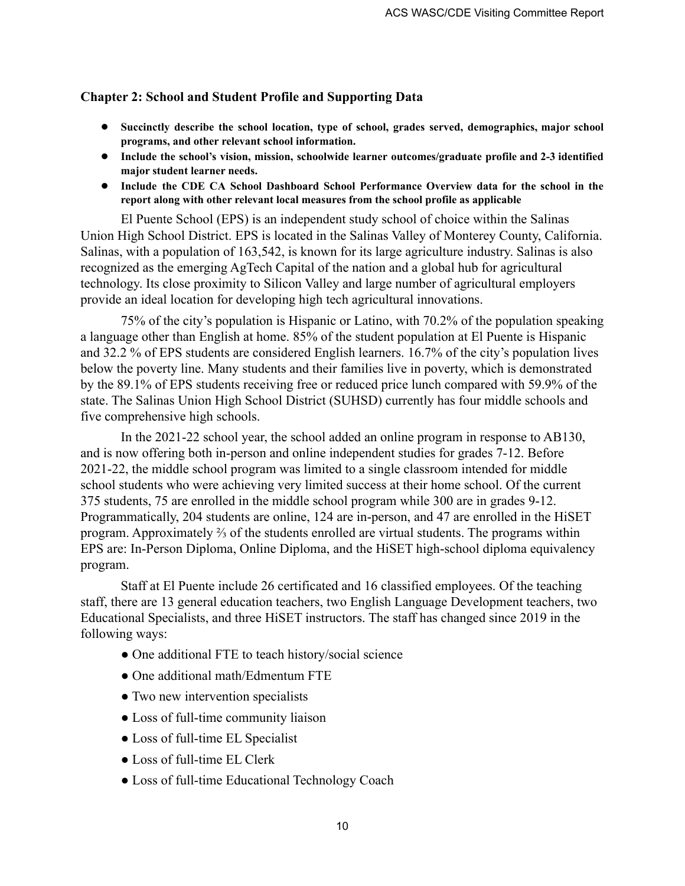### **Chapter 2: School and Student Profile and Supporting Data**

- **● Succinctly describe the school location, type of school, grades served, demographics, major school programs, and other relevant school information.**
- **● Include the school's vision, mission, schoolwide learner outcomes/graduate profile and 2-3 identified major student learner needs.**
- **● Include the CDE CA School Dashboard School Performance Overview data for the school in the report along with other relevant local measures from the school profile as applicable**

El Puente School (EPS) is an independent study school of choice within the Salinas Union High School District. EPS is located in the Salinas Valley of Monterey County, California. Salinas, with a population of 163,542, is known for its large agriculture industry. Salinas is also recognized as the emerging AgTech Capital of the nation and a global hub for agricultural technology. Its close proximity to Silicon Valley and large number of agricultural employers provide an ideal location for developing high tech agricultural innovations.

75% of the city's population is Hispanic or Latino, with 70.2% of the population speaking a language other than English at home. 85% of the student population at El Puente is Hispanic and 32.2 % of EPS students are considered English learners. 16.7% of the city's population lives below the poverty line. Many students and their families live in poverty, which is demonstrated by the 89.1% of EPS students receiving free or reduced price lunch compared with 59.9% of the state. The Salinas Union High School District (SUHSD) currently has four middle schools and five comprehensive high schools.

In the 2021-22 school year, the school added an online program in response to AB130, and is now offering both in-person and online independent studies for grades 7-12. Before 2021-22, the middle school program was limited to a single classroom intended for middle school students who were achieving very limited success at their home school. Of the current 375 students, 75 are enrolled in the middle school program while 300 are in grades 9-12. Programmatically, 204 students are online, 124 are in-person, and 47 are enrolled in the HiSET program. Approximately ⅔ of the students enrolled are virtual students. The programs within EPS are: In-Person Diploma, Online Diploma, and the HiSET high-school diploma equivalency program.

Staff at El Puente include 26 certificated and 16 classified employees. Of the teaching staff, there are 13 general education teachers, two English Language Development teachers, two Educational Specialists, and three HiSET instructors. The staff has changed since 2019 in the following ways:

- One additional FTE to teach history/social science
- One additional math/Edmentum FTE
- Two new intervention specialists
- Loss of full-time community liaison
- Loss of full-time EL Specialist
- Loss of full-time EL Clerk
- Loss of full-time Educational Technology Coach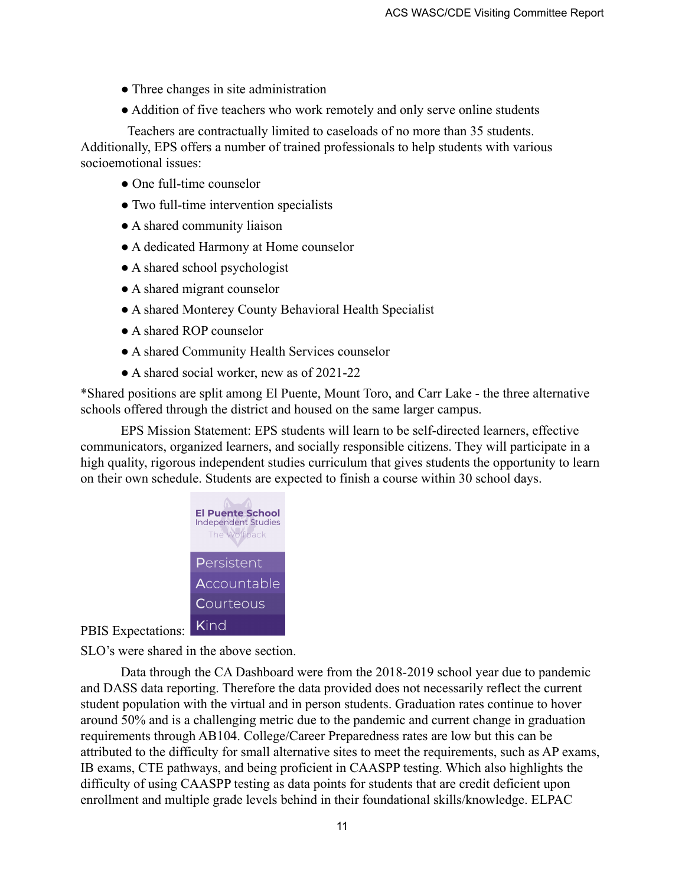- Three changes in site administration
- Addition of five teachers who work remotely and only serve online students

Teachers are contractually limited to caseloads of no more than 35 students. Additionally, EPS offers a number of trained professionals to help students with various socioemotional issues:

- One full-time counselor
- Two full-time intervention specialists
- A shared community liaison
- A dedicated Harmony at Home counselor
- A shared school psychologist
- A shared migrant counselor
- A shared Monterey County Behavioral Health Specialist
- A shared ROP counselor
- A shared Community Health Services counselor
- A shared social worker, new as of 2021-22

\*Shared positions are split among El Puente, Mount Toro, and Carr Lake - the three alternative schools offered through the district and housed on the same larger campus.

EPS Mission Statement: EPS students will learn to be self-directed learners, effective communicators, organized learners, and socially responsible citizens. They will participate in a high quality, rigorous independent studies curriculum that gives students the opportunity to learn on their own schedule. Students are expected to finish a course within 30 school days.



PBIS Expectations: Kind

SLO's were shared in the above section.

Data through the CA Dashboard were from the 2018-2019 school year due to pandemic and DASS data reporting. Therefore the data provided does not necessarily reflect the current student population with the virtual and in person students. Graduation rates continue to hover around 50% and is a challenging metric due to the pandemic and current change in graduation requirements through AB104. College/Career Preparedness rates are low but this can be attributed to the difficulty for small alternative sites to meet the requirements, such as AP exams, IB exams, CTE pathways, and being proficient in CAASPP testing. Which also highlights the difficulty of using CAASPP testing as data points for students that are credit deficient upon enrollment and multiple grade levels behind in their foundational skills/knowledge. ELPAC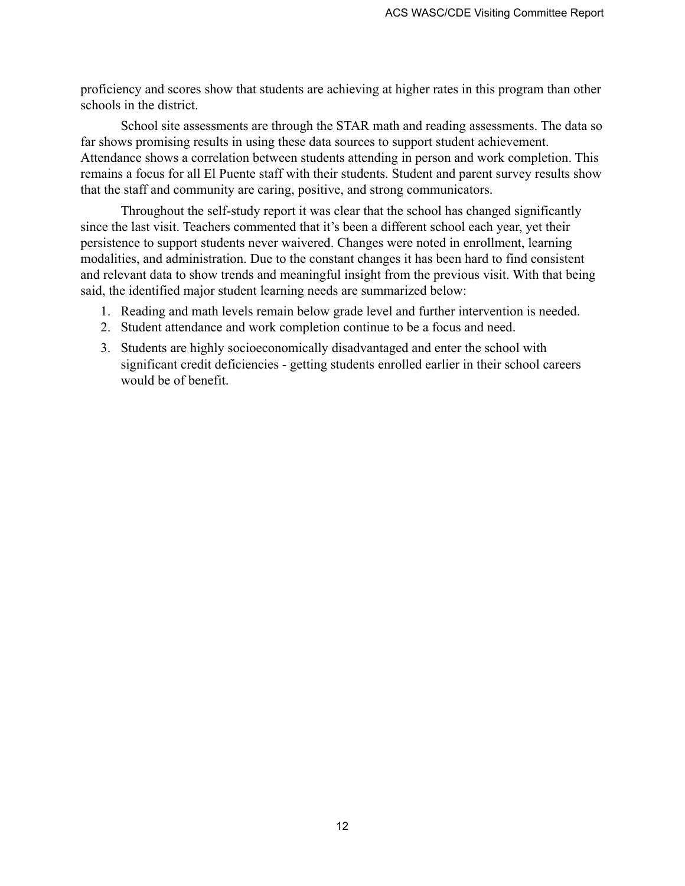proficiency and scores show that students are achieving at higher rates in this program than other schools in the district.

School site assessments are through the STAR math and reading assessments. The data so far shows promising results in using these data sources to support student achievement. Attendance shows a correlation between students attending in person and work completion. This remains a focus for all El Puente staff with their students. Student and parent survey results show that the staff and community are caring, positive, and strong communicators.

Throughout the self-study report it was clear that the school has changed significantly since the last visit. Teachers commented that it's been a different school each year, yet their persistence to support students never waivered. Changes were noted in enrollment, learning modalities, and administration. Due to the constant changes it has been hard to find consistent and relevant data to show trends and meaningful insight from the previous visit. With that being said, the identified major student learning needs are summarized below:

- 1. Reading and math levels remain below grade level and further intervention is needed.
- 2. Student attendance and work completion continue to be a focus and need.
- 3. Students are highly socioeconomically disadvantaged and enter the school with significant credit deficiencies - getting students enrolled earlier in their school careers would be of benefit.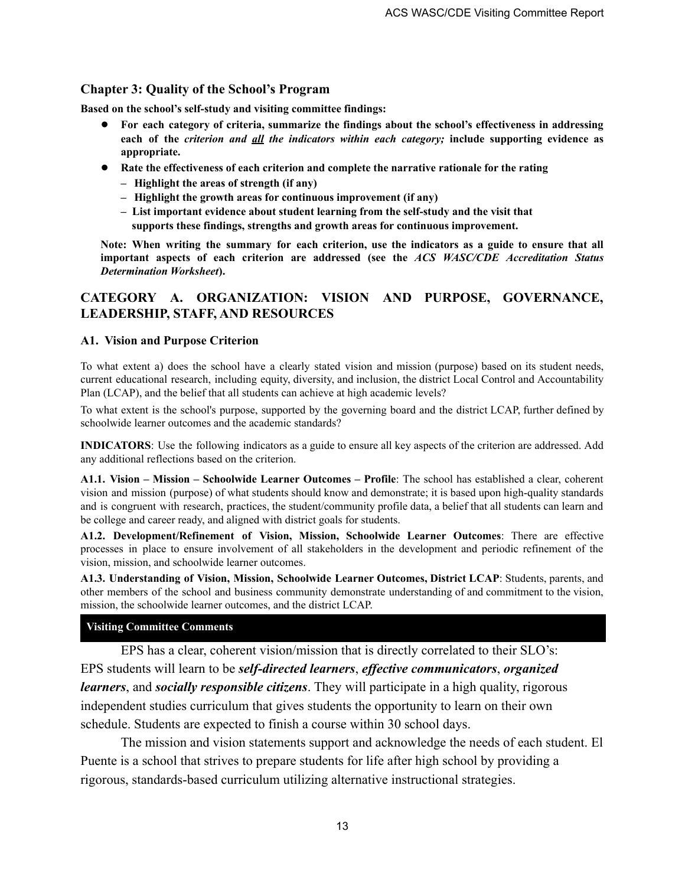### **Chapter 3: Quality of the School's Program**

**Based on the school's self-study and visiting committee findings:**

- **● For each category of criteria, summarize the findings about the school's effectiveness in addressing each of the** *criterion and all the indicators within each category;* **include supporting evidence as appropriate.**
- **● Rate the effectiveness of each criterion and complete the narrative rationale for the rating**
	- **– Highlight the areas of strength (if any)**
	- **– Highlight the growth areas for continuous improvement (if any)**
	- **– List important evidence about student learning from the self-study and the visit that supports these findings, strengths and growth areas for continuous improvement.**

Note: When writing the summary for each criterion, use the indicators as a guide to ensure that all **important aspects of each criterion are addressed (see the** *ACS WASC/CDE Accreditation Status Determination Worksheet***).**

### **CATEGORY A. ORGANIZATION: VISION AND PURPOSE, GOVERNANCE, LEADERSHIP, STAFF, AND RESOURCES**

#### **A1. Vision and Purpose Criterion**

To what extent a) does the school have a clearly stated vision and mission (purpose) based on its student needs, current educational research, including equity, diversity, and inclusion, the district Local Control and Accountability Plan (LCAP), and the belief that all students can achieve at high academic levels?

To what extent is the school's purpose, supported by the governing board and the district LCAP, further defined by schoolwide learner outcomes and the academic standards?

**INDICATORS**: Use the following indicators as a guide to ensure all key aspects of the criterion are addressed. Add any additional reflections based on the criterion.

**A1.1. Vision – Mission – Schoolwide Learner Outcomes – Profile**: The school has established a clear, coherent vision and mission (purpose) of what students should know and demonstrate; it is based upon high-quality standards and is congruent with research, practices, the student/community profile data, a belief that all students can learn and be college and career ready, and aligned with district goals for students.

**A1.2. Development/Refinement of Vision, Mission, Schoolwide Learner Outcomes**: There are effective processes in place to ensure involvement of all stakeholders in the development and periodic refinement of the vision, mission, and schoolwide learner outcomes.

**A1.3. Understanding of Vision, Mission, Schoolwide Learner Outcomes, District LCAP**: Students, parents, and other members of the school and business community demonstrate understanding of and commitment to the vision, mission, the schoolwide learner outcomes, and the district LCAP.

#### **Visiting Committee Comments**

EPS has a clear, coherent vision/mission that is directly correlated to their SLO's: EPS students will learn to be *self-directed learners*, *effective communicators*, *organized learners*, and *socially responsible citizens*. They will participate in a high quality, rigorous independent studies curriculum that gives students the opportunity to learn on their own schedule. Students are expected to finish a course within 30 school days.

The mission and vision statements support and acknowledge the needs of each student. El Puente is a school that strives to prepare students for life after high school by providing a rigorous, standards-based curriculum utilizing alternative instructional strategies.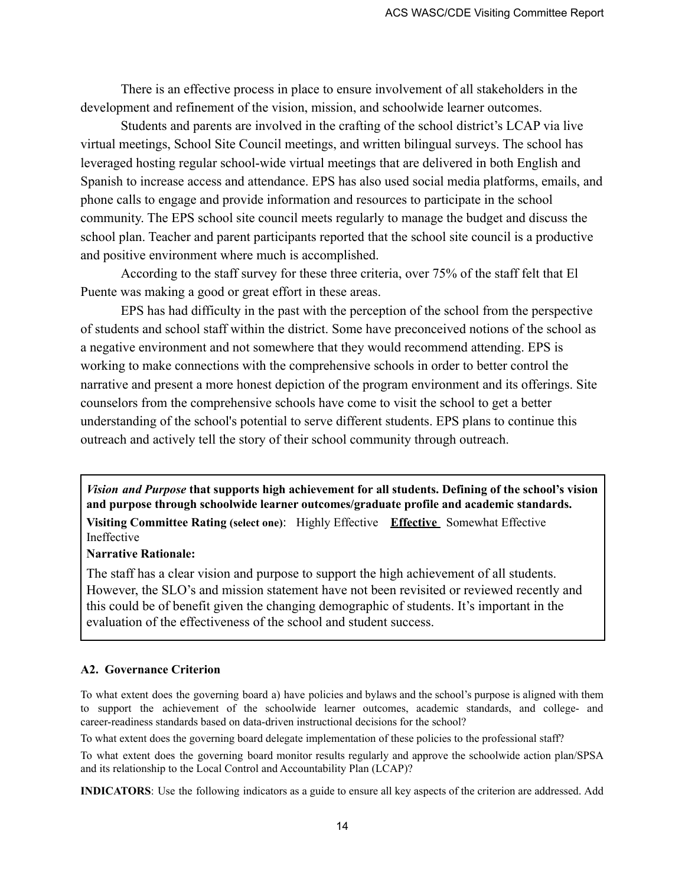There is an effective process in place to ensure involvement of all stakeholders in the development and refinement of the vision, mission, and schoolwide learner outcomes.

Students and parents are involved in the crafting of the school district's LCAP via live virtual meetings, School Site Council meetings, and written bilingual surveys. The school has leveraged hosting regular school-wide virtual meetings that are delivered in both English and Spanish to increase access and attendance. EPS has also used social media platforms, emails, and phone calls to engage and provide information and resources to participate in the school community. The EPS school site council meets regularly to manage the budget and discuss the school plan. Teacher and parent participants reported that the school site council is a productive and positive environment where much is accomplished.

According to the staff survey for these three criteria, over 75% of the staff felt that El Puente was making a good or great effort in these areas.

EPS has had difficulty in the past with the perception of the school from the perspective of students and school staff within the district. Some have preconceived notions of the school as a negative environment and not somewhere that they would recommend attending. EPS is working to make connections with the comprehensive schools in order to better control the narrative and present a more honest depiction of the program environment and its offerings. Site counselors from the comprehensive schools have come to visit the school to get a better understanding of the school's potential to serve different students. EPS plans to continue this outreach and actively tell the story of their school community through outreach.

*Vision and Purpose* **that supports high achievement for all students. Defining of the school's vision and purpose through schoolwide learner outcomes/graduate profile and academic standards. Visiting Committee Rating (select one)**: Highly Effective **Effective** Somewhat Effective Ineffective

#### **Narrative Rationale:**

The staff has a clear vision and purpose to support the high achievement of all students. However, the SLO's and mission statement have not been revisited or reviewed recently and this could be of benefit given the changing demographic of students. It's important in the evaluation of the effectiveness of the school and student success.

#### **A2. Governance Criterion**

To what extent does the governing board a) have policies and bylaws and the school's purpose is aligned with them to support the achievement of the schoolwide learner outcomes, academic standards, and college- and career-readiness standards based on data-driven instructional decisions for the school?

To what extent does the governing board delegate implementation of these policies to the professional staff?

To what extent does the governing board monitor results regularly and approve the schoolwide action plan/SPSA and its relationship to the Local Control and Accountability Plan (LCAP)?

**INDICATORS**: Use the following indicators as a guide to ensure all key aspects of the criterion are addressed. Add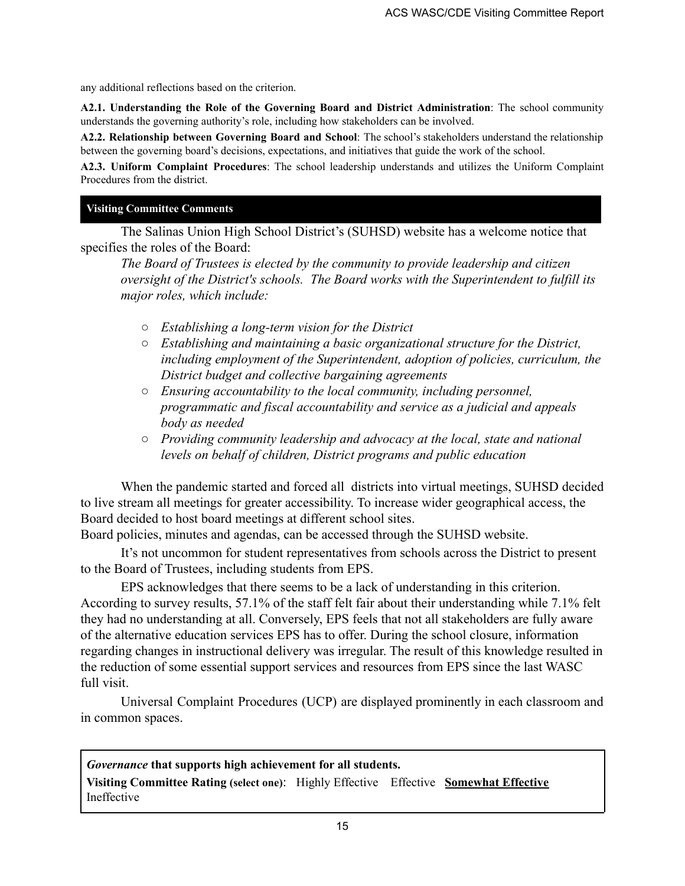any additional reflections based on the criterion.

**A2.1. Understanding the Role of the Governing Board and District Administration**: The school community understands the governing authority's role, including how stakeholders can be involved.

**A2.2. Relationship between Governing Board and School**: The school's stakeholders understand the relationship between the governing board's decisions, expectations, and initiatives that guide the work of the school.

**A2.3. Uniform Complaint Procedures**: The school leadership understands and utilizes the Uniform Complaint Procedures from the district.

#### **Visiting Committee Comments**

The Salinas Union High School District's (SUHSD) website has a welcome notice that specifies the roles of the Board:

*The Board of Trustees is elected by the community to provide leadership and citizen oversight of the District's schools. The Board works with the Superintendent to fulfill its major roles, which include:*

- *○ Establishing a long-term vision for the District*
- *○ Establishing and maintaining a basic organizational structure for the District, including employment of the Superintendent, adoption of policies, curriculum, the District budget and collective bargaining agreements*
- *○ Ensuring accountability to the local community, including personnel, programmatic and fiscal accountability and service as a judicial and appeals body as needed*
- *○ Providing community leadership and advocacy at the local, state and national levels on behalf of children, District programs and public education*

When the pandemic started and forced all districts into virtual meetings, SUHSD decided to live stream all meetings for greater accessibility. To increase wider geographical access, the Board decided to host board meetings at different school sites.

Board policies, minutes and agendas, can be accessed through the SUHSD website.

It's not uncommon for student representatives from schools across the District to present to the Board of Trustees, including students from EPS.

EPS acknowledges that there seems to be a lack of understanding in this criterion. According to survey results, 57.1% of the staff felt fair about their understanding while 7.1% felt they had no understanding at all. Conversely, EPS feels that not all stakeholders are fully aware of the alternative education services EPS has to offer. During the school closure, information regarding changes in instructional delivery was irregular. The result of this knowledge resulted in the reduction of some essential support services and resources from EPS since the last WASC full visit.

Universal Complaint Procedures (UCP) are displayed prominently in each classroom and in common spaces.

*Governance* **that supports high achievement for all students.**

**Visiting Committee Rating (select one)**: Highly Effective Effective **Somewhat Effective** Ineffective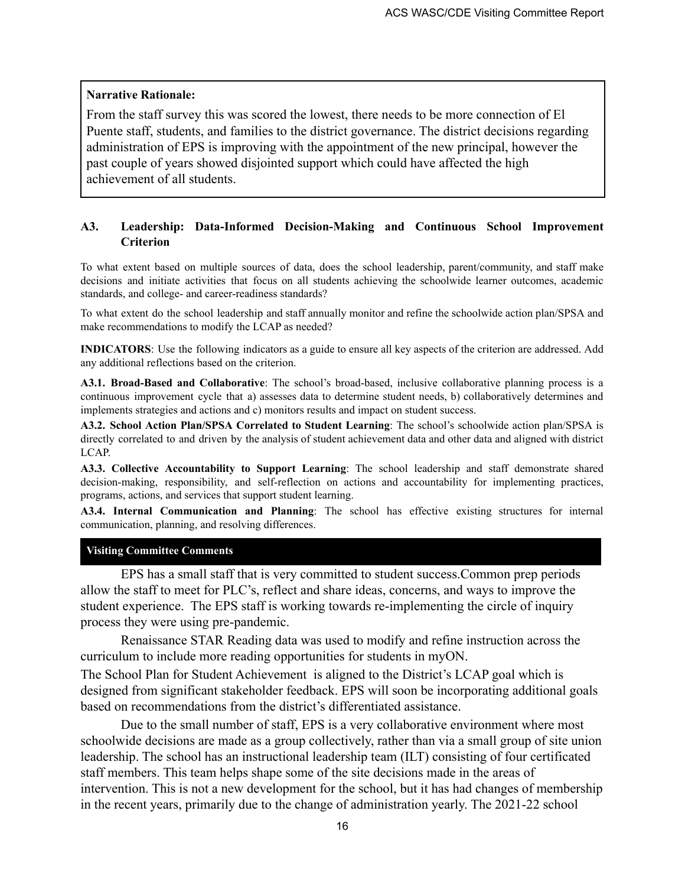#### **Narrative Rationale:**

From the staff survey this was scored the lowest, there needs to be more connection of El Puente staff, students, and families to the district governance. The district decisions regarding administration of EPS is improving with the appointment of the new principal, however the past couple of years showed disjointed support which could have affected the high achievement of all students.

### **A3. Leadership: Data-Informed Decision-Making and Continuous School Improvement Criterion**

To what extent based on multiple sources of data, does the school leadership, parent/community, and staff make decisions and initiate activities that focus on all students achieving the schoolwide learner outcomes, academic standards, and college- and career-readiness standards?

To what extent do the school leadership and staff annually monitor and refine the schoolwide action plan/SPSA and make recommendations to modify the LCAP as needed?

**INDICATORS**: Use the following indicators as a guide to ensure all key aspects of the criterion are addressed. Add any additional reflections based on the criterion.

**A3.1. Broad-Based and Collaborative**: The school's broad-based, inclusive collaborative planning process is a continuous improvement cycle that a) assesses data to determine student needs, b) collaboratively determines and implements strategies and actions and c) monitors results and impact on student success.

**A3.2. School Action Plan/SPSA Correlated to Student Learning**: The school's schoolwide action plan/SPSA is directly correlated to and driven by the analysis of student achievement data and other data and aligned with district LCAP.

**A3.3. Collective Accountability to Support Learning**: The school leadership and staff demonstrate shared decision-making, responsibility, and self-reflection on actions and accountability for implementing practices, programs, actions, and services that support student learning.

**A3.4. Internal Communication and Planning**: The school has effective existing structures for internal communication, planning, and resolving differences.

#### **Visiting Committee Comments**

EPS has a small staff that is very committed to student success.Common prep periods allow the staff to meet for PLC's, reflect and share ideas, concerns, and ways to improve the student experience. The EPS staff is working towards re-implementing the circle of inquiry process they were using pre-pandemic.

Renaissance STAR Reading data was used to modify and refine instruction across the curriculum to include more reading opportunities for students in myON.

The School Plan for Student Achievement is aligned to the District's LCAP goal which is designed from significant stakeholder feedback. EPS will soon be incorporating additional goals based on recommendations from the district's differentiated assistance.

Due to the small number of staff, EPS is a very collaborative environment where most schoolwide decisions are made as a group collectively, rather than via a small group of site union leadership. The school has an instructional leadership team (ILT) consisting of four certificated staff members. This team helps shape some of the site decisions made in the areas of intervention. This is not a new development for the school, but it has had changes of membership in the recent years, primarily due to the change of administration yearly. The 2021-22 school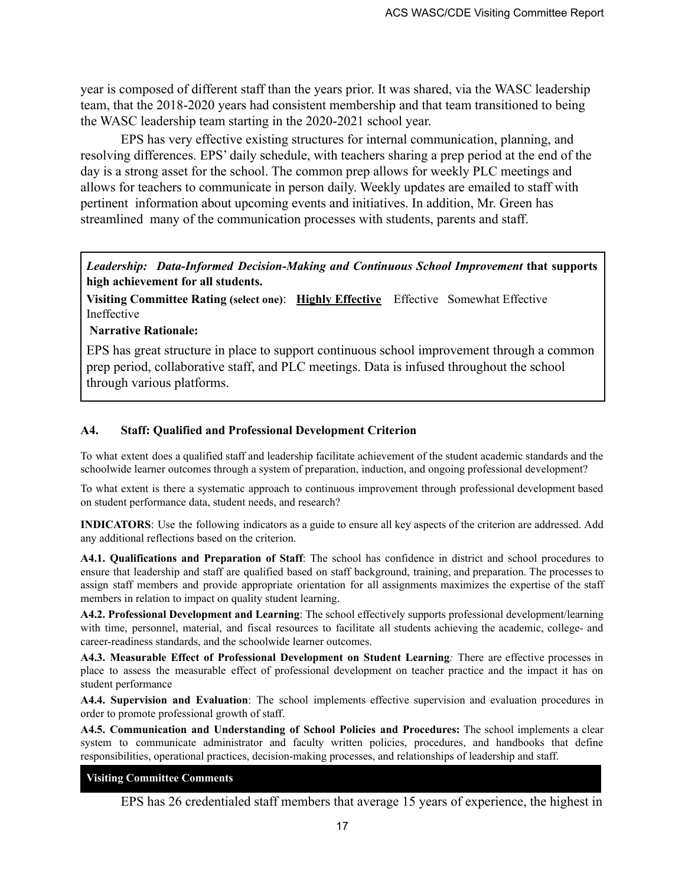year is composed of different staff than the years prior. It was shared, via the WASC leadership team, that the 2018-2020 years had consistent membership and that team transitioned to being the WASC leadership team starting in the 2020-2021 school year.

EPS has very effective existing structures for internal communication, planning, and resolving differences. EPS' daily schedule, with teachers sharing a prep period at the end of the day is a strong asset for the school. The common prep allows for weekly PLC meetings and allows for teachers to communicate in person daily. Weekly updates are emailed to staff with pertinent information about upcoming events and initiatives. In addition, Mr. Green has streamlined many of the communication processes with students, parents and staff.

*Leadership: Data-Informed Decision-Making and Continuous School Improvement* **that supports high achievement for all students.**

**Visiting Committee Rating (select one)**: **Highly Effective** Effective Somewhat Effective Ineffective

**Narrative Rationale:**

EPS has great structure in place to support continuous school improvement through a common prep period, collaborative staff, and PLC meetings. Data is infused throughout the school through various platforms.

#### **A4. Staff: Qualified and Professional Development Criterion**

To what extent does a qualified staff and leadership facilitate achievement of the student academic standards and the schoolwide learner outcomes through a system of preparation, induction, and ongoing professional development?

To what extent is there a systematic approach to continuous improvement through professional development based on student performance data, student needs, and research?

**INDICATORS**: Use the following indicators as a guide to ensure all key aspects of the criterion are addressed. Add any additional reflections based on the criterion.

**A4.1. Qualifications and Preparation of Staff**: The school has confidence in district and school procedures to ensure that leadership and staff are qualified based on staff background, training, and preparation. The processes to assign staff members and provide appropriate orientation for all assignments maximizes the expertise of the staff members in relation to impact on quality student learning.

**A4.2. Professional Development and Learning**: The school effectively supports professional development/learning with time, personnel, material, and fiscal resources to facilitate all students achieving the academic, college- and career-readiness standards, and the schoolwide learner outcomes.

**A4.3. Measurable Effect of Professional Development on Student Learning***:* There are effective processes in place to assess the measurable effect of professional development on teacher practice and the impact it has on student performance

**A4.4. Supervision and Evaluation**: The school implements effective supervision and evaluation procedures in order to promote professional growth of staff.

**A4.5. Communication and Understanding of School Policies and Procedures:** The school implements a clear system to communicate administrator and faculty written policies, procedures, and handbooks that define responsibilities, operational practices, decision-making processes, and relationships of leadership and staff.

#### **Visiting Committee Comments**

EPS has 26 credentialed staff members that average 15 years of experience, the highest in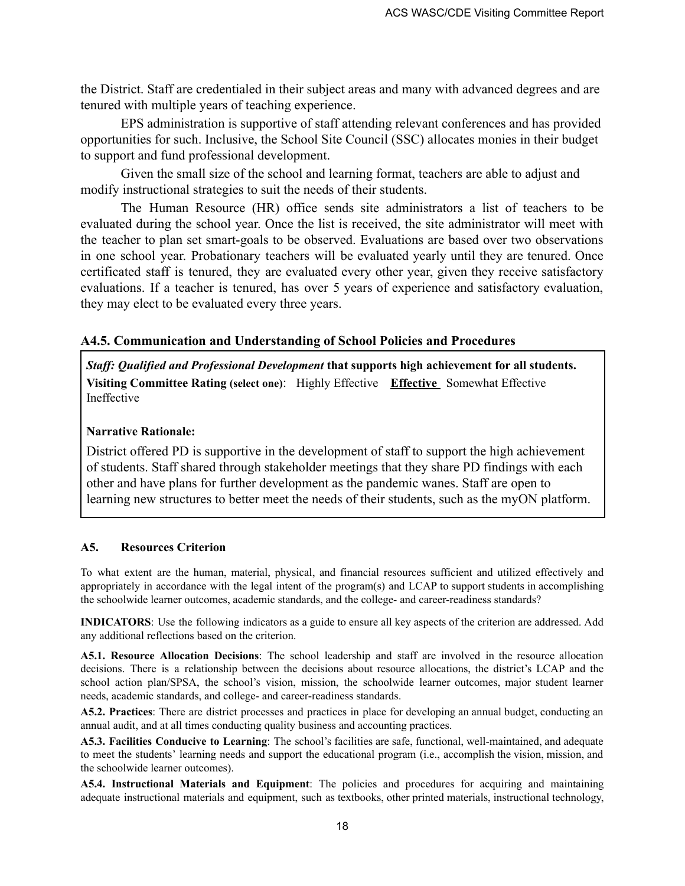the District. Staff are credentialed in their subject areas and many with advanced degrees and are tenured with multiple years of teaching experience.

EPS administration is supportive of staff attending relevant conferences and has provided opportunities for such. Inclusive, the School Site Council (SSC) allocates monies in their budget to support and fund professional development.

Given the small size of the school and learning format, teachers are able to adjust and modify instructional strategies to suit the needs of their students.

The Human Resource (HR) office sends site administrators a list of teachers to be evaluated during the school year. Once the list is received, the site administrator will meet with the teacher to plan set smart-goals to be observed. Evaluations are based over two observations in one school year. Probationary teachers will be evaluated yearly until they are tenured. Once certificated staff is tenured, they are evaluated every other year, given they receive satisfactory evaluations. If a teacher is tenured, has over 5 years of experience and satisfactory evaluation, they may elect to be evaluated every three years.

### **A4.5. Communication and Understanding of School Policies and Procedures**

*Staf : Qualified and Professional Development* **that supports high achievement for all students. Visiting Committee Rating (select one)**: Highly Effective **Effective** Somewhat Effective Ineffective

#### **Narrative Rationale:**

District offered PD is supportive in the development of staff to support the high achievement of students. Staff shared through stakeholder meetings that they share PD findings with each other and have plans for further development as the pandemic wanes. Staff are open to learning new structures to better meet the needs of their students, such as the myON platform.

#### **A5. Resources Criterion**

To what extent are the human, material, physical, and financial resources sufficient and utilized effectively and appropriately in accordance with the legal intent of the program(s) and LCAP to support students in accomplishing the schoolwide learner outcomes, academic standards, and the college- and career-readiness standards?

**INDICATORS**: Use the following indicators as a guide to ensure all key aspects of the criterion are addressed. Add any additional reflections based on the criterion.

**A5.1. Resource Allocation Decisions**: The school leadership and staff are involved in the resource allocation decisions. There is a relationship between the decisions about resource allocations, the district's LCAP and the school action plan/SPSA, the school's vision, mission, the schoolwide learner outcomes, major student learner needs, academic standards, and college- and career-readiness standards.

**A5.2. Practices**: There are district processes and practices in place for developing an annual budget, conducting an annual audit, and at all times conducting quality business and accounting practices.

**A5.3. Facilities Conducive to Learning**: The school's facilities are safe, functional, well-maintained, and adequate to meet the students' learning needs and support the educational program (i.e., accomplish the vision, mission, and the schoolwide learner outcomes).

**A5.4. Instructional Materials and Equipment**: The policies and procedures for acquiring and maintaining adequate instructional materials and equipment, such as textbooks, other printed materials, instructional technology,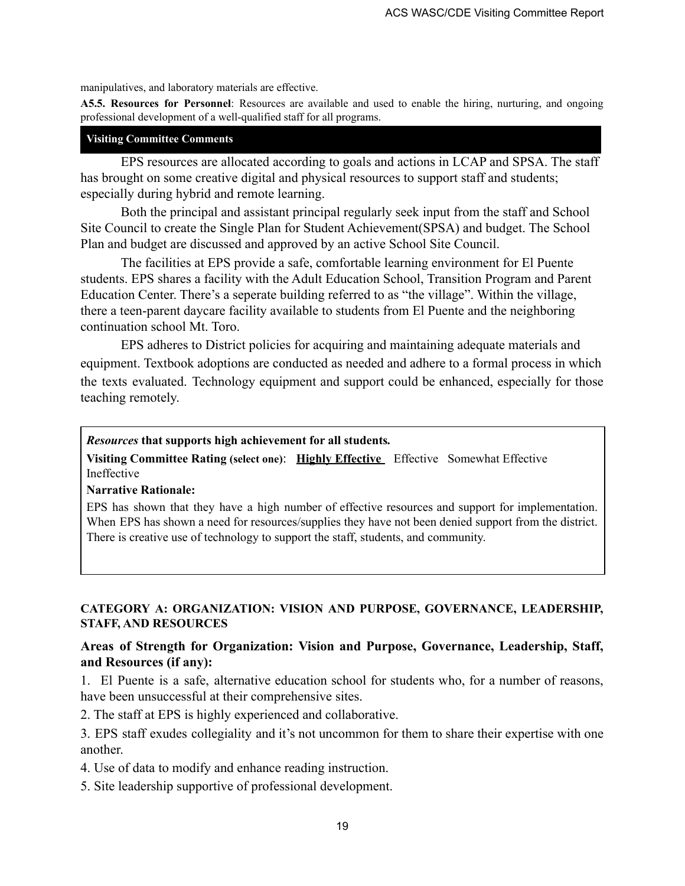manipulatives, and laboratory materials are effective.

**A5.5. Resources for Personnel**: Resources are available and used to enable the hiring, nurturing, and ongoing professional development of a well-qualified staff for all programs.

### **Visiting Committee Comments**

EPS resources are allocated according to goals and actions in LCAP and SPSA. The staff has brought on some creative digital and physical resources to support staff and students; especially during hybrid and remote learning.

Both the principal and assistant principal regularly seek input from the staff and School Site Council to create the Single Plan for Student Achievement(SPSA) and budget. The School Plan and budget are discussed and approved by an active School Site Council.

The facilities at EPS provide a safe, comfortable learning environment for El Puente students. EPS shares a facility with the Adult Education School, Transition Program and Parent Education Center. There's a seperate building referred to as "the village". Within the village, there a teen-parent daycare facility available to students from El Puente and the neighboring continuation school Mt. Toro.

EPS adheres to District policies for acquiring and maintaining adequate materials and equipment. Textbook adoptions are conducted as needed and adhere to a formal process in which the texts evaluated. Technology equipment and support could be enhanced, especially for those teaching remotely.

### *Resources* **that supports high achievement for all students***.*

**Visiting Committee Rating (select one)**: **Highly Effective** Effective Somewhat Effective Ineffective

#### **Narrative Rationale:**

EPS has shown that they have a high number of effective resources and support for implementation. When EPS has shown a need for resources/supplies they have not been denied support from the district. There is creative use of technology to support the staff, students, and community.

### **CATEGORY A: ORGANIZATION: VISION AND PURPOSE, GOVERNANCE, LEADERSHIP, STAFF, AND RESOURCES**

### **Areas of Strength for Organization: Vision and Purpose, Governance, Leadership, Staff, and Resources (if any):**

1. El Puente is a safe, alternative education school for students who, for a number of reasons, have been unsuccessful at their comprehensive sites.

2. The staff at EPS is highly experienced and collaborative.

3. EPS staff exudes collegiality and it's not uncommon for them to share their expertise with one another.

4. Use of data to modify and enhance reading instruction.

5. Site leadership supportive of professional development.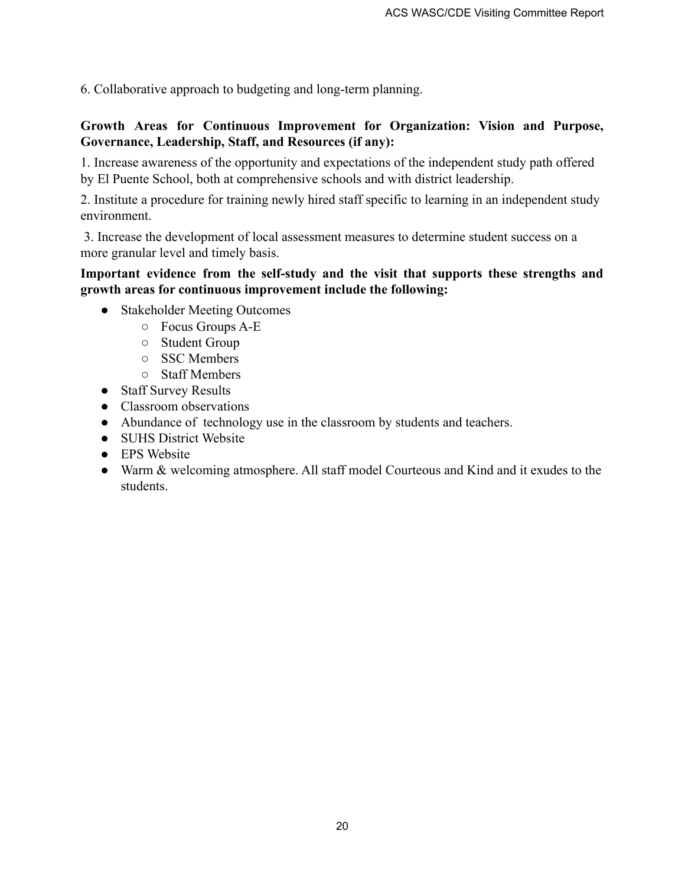6. Collaborative approach to budgeting and long-term planning.

### **Growth Areas for Continuous Improvement for Organization: Vision and Purpose, Governance, Leadership, Staff, and Resources (if any):**

1. Increase awareness of the opportunity and expectations of the independent study path offered by El Puente School, both at comprehensive schools and with district leadership.

2. Institute a procedure for training newly hired staff specific to learning in an independent study environment.

3. Increase the development of local assessment measures to determine student success on a more granular level and timely basis.

### **Important evidence from the self-study and the visit that supports these strengths and growth areas for continuous improvement include the following:**

- Stakeholder Meeting Outcomes
	- Focus Groups A-E
	- Student Group
	- SSC Members
	- Staff Members
- Staff Survey Results
- Classroom observations
- Abundance of technology use in the classroom by students and teachers.
- SUHS District Website
- EPS Website
- Warm & welcoming atmosphere. All staff model Courteous and Kind and it exudes to the students.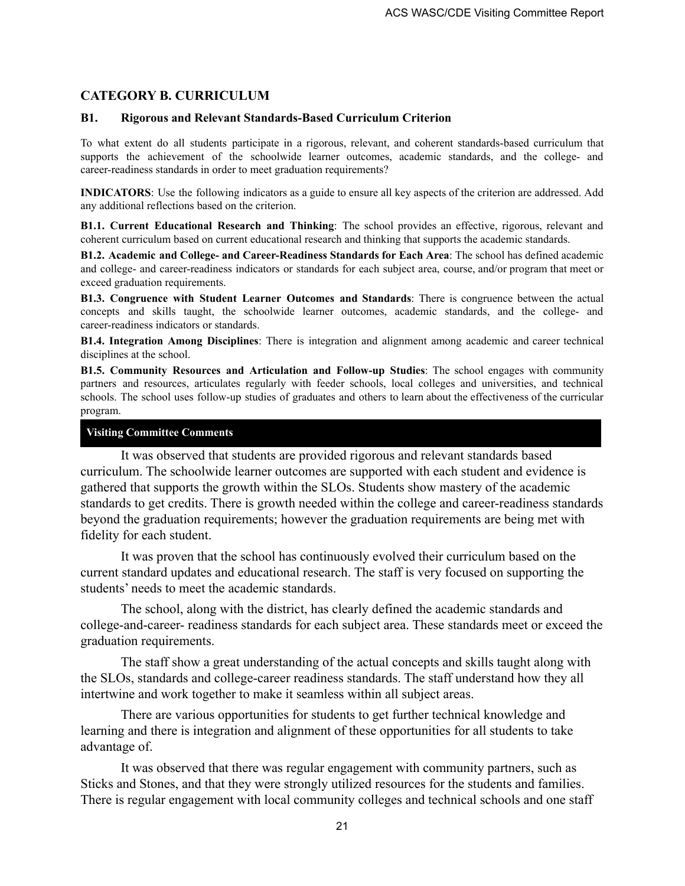### **CATEGORY B. CURRICULUM**

#### **B1. Rigorous and Relevant Standards-Based Curriculum Criterion**

To what extent do all students participate in a rigorous, relevant, and coherent standards-based curriculum that supports the achievement of the schoolwide learner outcomes, academic standards, and the college- and career-readiness standards in order to meet graduation requirements?

**INDICATORS**: Use the following indicators as a guide to ensure all key aspects of the criterion are addressed. Add any additional reflections based on the criterion.

**B1.1. Current Educational Research and Thinking**: The school provides an effective, rigorous, relevant and coherent curriculum based on current educational research and thinking that supports the academic standards.

**B1.2. Academic and College- and Career-Readiness Standards for Each Area**: The school has defined academic and college- and career-readiness indicators or standards for each subject area, course, and/or program that meet or exceed graduation requirements.

**B1.3. Congruence with Student Learner Outcomes and Standards**: There is congruence between the actual concepts and skills taught, the schoolwide learner outcomes, academic standards, and the college- and career-readiness indicators or standards.

**B1.4. Integration Among Disciplines**: There is integration and alignment among academic and career technical disciplines at the school.

**B1.5. Community Resources and Articulation and Follow-up Studies**: The school engages with community partners and resources, articulates regularly with feeder schools, local colleges and universities, and technical schools. The school uses follow-up studies of graduates and others to learn about the effectiveness of the curricular program.

#### **Visiting Committee Comments**

It was observed that students are provided rigorous and relevant standards based curriculum. The schoolwide learner outcomes are supported with each student and evidence is gathered that supports the growth within the SLOs. Students show mastery of the academic standards to get credits. There is growth needed within the college and career-readiness standards beyond the graduation requirements; however the graduation requirements are being met with fidelity for each student.

It was proven that the school has continuously evolved their curriculum based on the current standard updates and educational research. The staff is very focused on supporting the students' needs to meet the academic standards.

The school, along with the district, has clearly defined the academic standards and college-and-career- readiness standards for each subject area. These standards meet or exceed the graduation requirements.

The staff show a great understanding of the actual concepts and skills taught along with the SLOs, standards and college-career readiness standards. The staff understand how they all intertwine and work together to make it seamless within all subject areas.

There are various opportunities for students to get further technical knowledge and learning and there is integration and alignment of these opportunities for all students to take advantage of.

It was observed that there was regular engagement with community partners, such as Sticks and Stones, and that they were strongly utilized resources for the students and families. There is regular engagement with local community colleges and technical schools and one staff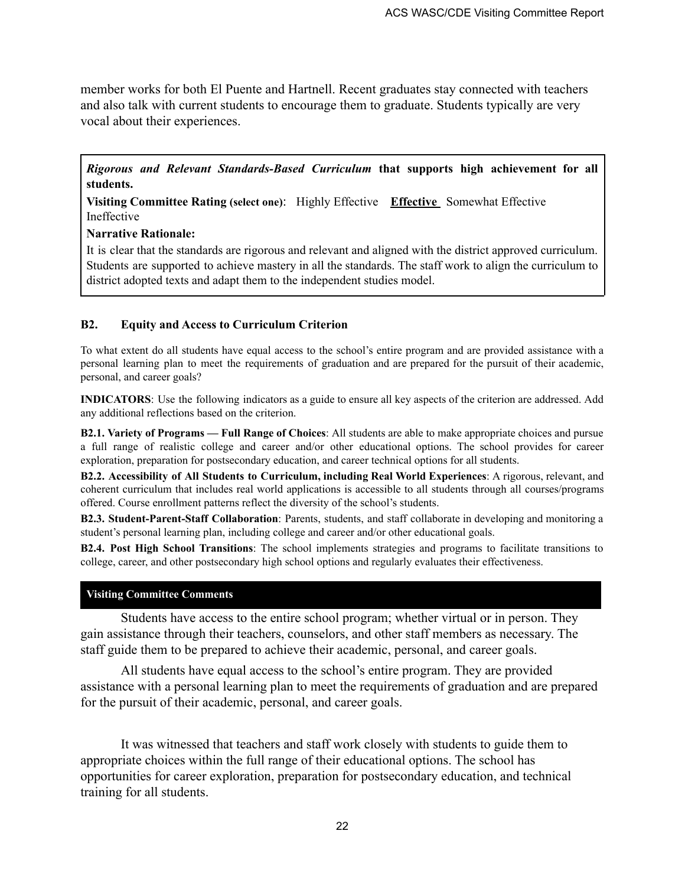member works for both El Puente and Hartnell. Recent graduates stay connected with teachers and also talk with current students to encourage them to graduate. Students typically are very vocal about their experiences.

*Rigorous and Relevant Standards-Based Curriculum* **that supports high achievement for all students.**

**Visiting Committee Rating (select one)**: Highly Effective **Effective** Somewhat Effective Ineffective

#### **Narrative Rationale:**

It is clear that the standards are rigorous and relevant and aligned with the district approved curriculum. Students are supported to achieve mastery in all the standards. The staff work to align the curriculum to district adopted texts and adapt them to the independent studies model.

#### **B2. Equity and Access to Curriculum Criterion**

To what extent do all students have equal access to the school's entire program and are provided assistance with a personal learning plan to meet the requirements of graduation and are prepared for the pursuit of their academic, personal, and career goals?

**INDICATORS**: Use the following indicators as a guide to ensure all key aspects of the criterion are addressed. Add any additional reflections based on the criterion.

**B2.1. Variety of Programs — Full Range of Choices**: All students are able to make appropriate choices and pursue a full range of realistic college and career and/or other educational options. The school provides for career exploration, preparation for postsecondary education, and career technical options for all students.

**B2.2. Accessibility of All Students to Curriculum, including Real World Experiences**: A rigorous, relevant, and coherent curriculum that includes real world applications is accessible to all students through all courses/programs offered. Course enrollment patterns reflect the diversity of the school's students.

**B2.3. Student-Parent-Staff Collaboration**: Parents, students, and staff collaborate in developing and monitoring a student's personal learning plan, including college and career and/or other educational goals.

**B2.4. Post High School Transitions**: The school implements strategies and programs to facilitate transitions to college, career, and other postsecondary high school options and regularly evaluates their effectiveness.

#### **Visiting Committee Comments**

Students have access to the entire school program; whether virtual or in person. They gain assistance through their teachers, counselors, and other staff members as necessary. The staff guide them to be prepared to achieve their academic, personal, and career goals.

All students have equal access to the school's entire program. They are provided assistance with a personal learning plan to meet the requirements of graduation and are prepared for the pursuit of their academic, personal, and career goals.

It was witnessed that teachers and staff work closely with students to guide them to appropriate choices within the full range of their educational options. The school has opportunities for career exploration, preparation for postsecondary education, and technical training for all students.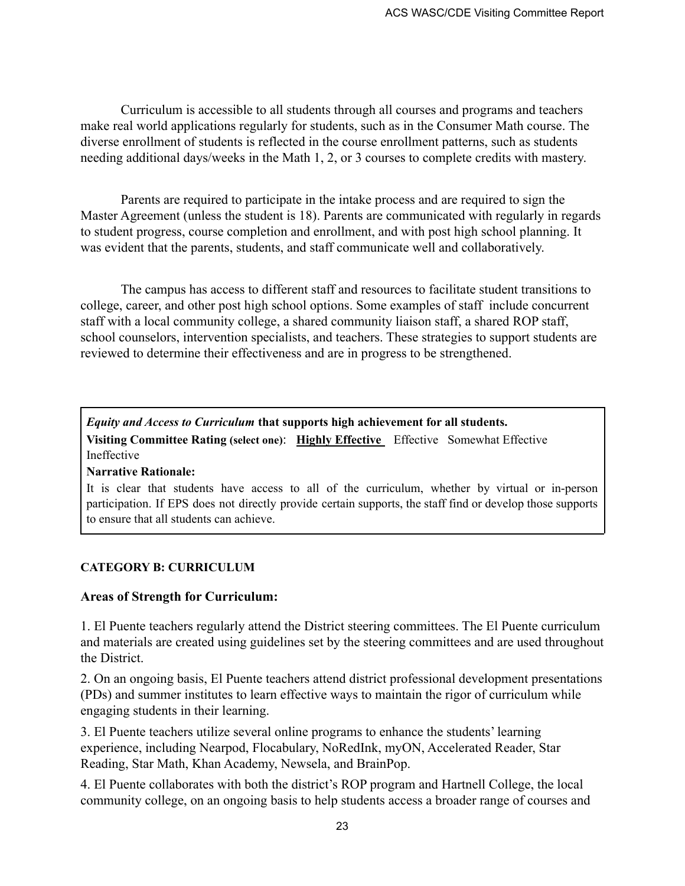Curriculum is accessible to all students through all courses and programs and teachers make real world applications regularly for students, such as in the Consumer Math course. The diverse enrollment of students is reflected in the course enrollment patterns, such as students needing additional days/weeks in the Math 1, 2, or 3 courses to complete credits with mastery.

Parents are required to participate in the intake process and are required to sign the Master Agreement (unless the student is 18). Parents are communicated with regularly in regards to student progress, course completion and enrollment, and with post high school planning. It was evident that the parents, students, and staff communicate well and collaboratively.

The campus has access to different staff and resources to facilitate student transitions to college, career, and other post high school options. Some examples of staff include concurrent staff with a local community college, a shared community liaison staff, a shared ROP staff, school counselors, intervention specialists, and teachers. These strategies to support students are reviewed to determine their effectiveness and are in progress to be strengthened.

*Equity and Access to Curriculum* **that supports high achievement for all students. Visiting Committee Rating (select one)**: **Highly Effective** Effective Somewhat Effective Ineffective

#### **Narrative Rationale:**

It is clear that students have access to all of the curriculum, whether by virtual or in-person participation. If EPS does not directly provide certain supports, the staff find or develop those supports to ensure that all students can achieve.

#### **CATEGORY B: CURRICULUM**

### **Areas of Strength for Curriculum:**

1. El Puente teachers regularly attend the District steering committees. The El Puente curriculum and materials are created using guidelines set by the steering committees and are used throughout the District.

2. On an ongoing basis, El Puente teachers attend district professional development presentations (PDs) and summer institutes to learn effective ways to maintain the rigor of curriculum while engaging students in their learning.

3. El Puente teachers utilize several online programs to enhance the students' learning experience, including Nearpod, Flocabulary, NoRedInk, myON, Accelerated Reader, Star Reading, Star Math, Khan Academy, Newsela, and BrainPop.

4. El Puente collaborates with both the district's ROP program and Hartnell College, the local community college, on an ongoing basis to help students access a broader range of courses and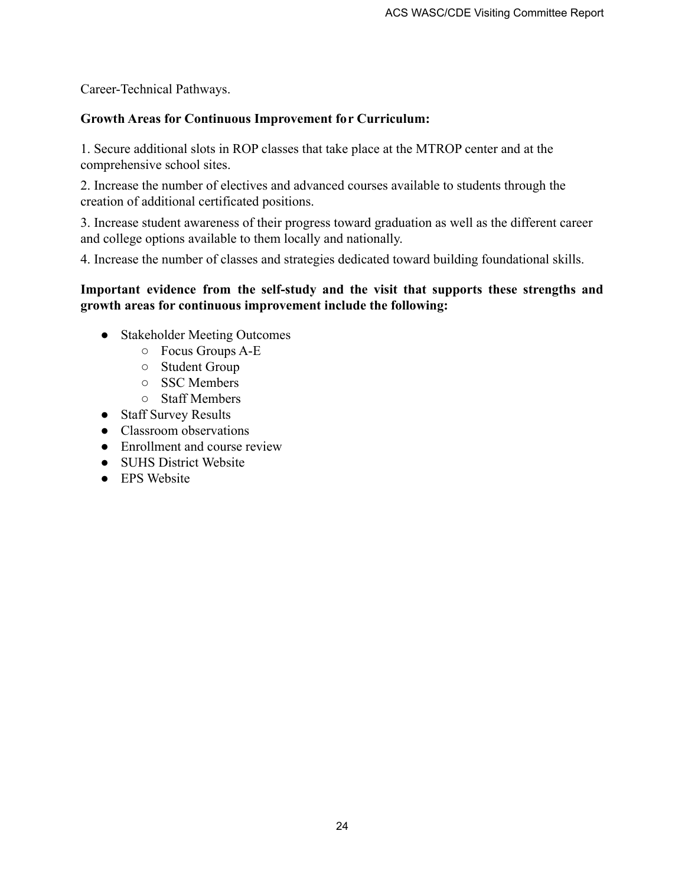Career-Technical Pathways.

### **Growth Areas for Continuous Improvement for Curriculum:**

1. Secure additional slots in ROP classes that take place at the MTROP center and at the comprehensive school sites.

2. Increase the number of electives and advanced courses available to students through the creation of additional certificated positions.

3. Increase student awareness of their progress toward graduation as well as the different career and college options available to them locally and nationally.

4. Increase the number of classes and strategies dedicated toward building foundational skills.

### **Important evidence from the self-study and the visit that supports these strengths and growth areas for continuous improvement include the following:**

- Stakeholder Meeting Outcomes
	- Focus Groups A-E
	- Student Group
	- SSC Members
	- Staff Members
- Staff Survey Results
- Classroom observations
- Enrollment and course review
- SUHS District Website
- EPS Website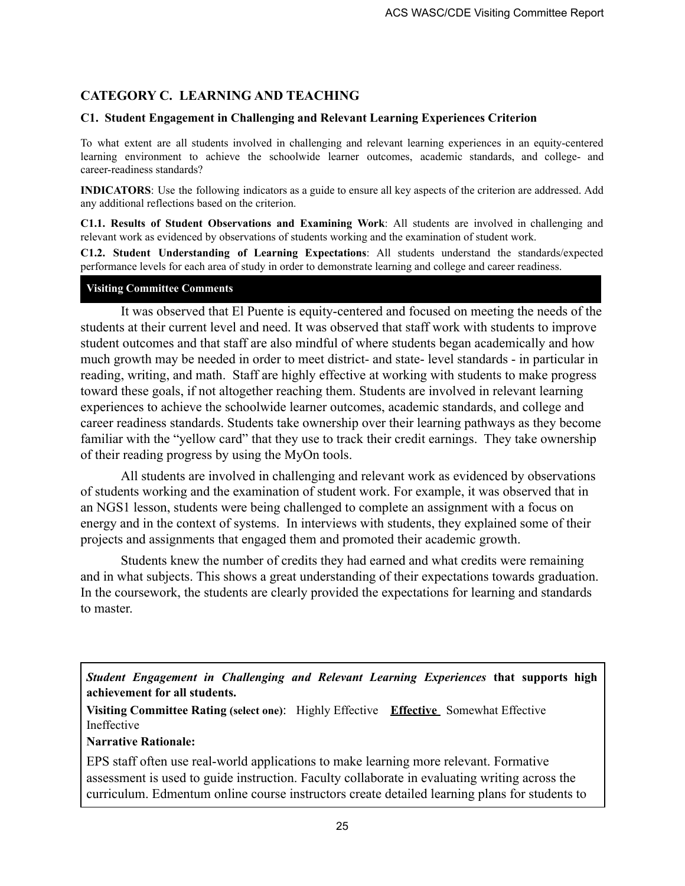# **CATEGORY C. LEARNING AND TEACHING**

### **C1. Student Engagement in Challenging and Relevant Learning Experiences Criterion**

To what extent are all students involved in challenging and relevant learning experiences in an equity-centered learning environment to achieve the schoolwide learner outcomes, academic standards, and college- and career-readiness standards?

**INDICATORS**: Use the following indicators as a guide to ensure all key aspects of the criterion are addressed. Add any additional reflections based on the criterion.

**C1.1. Results of Student Observations and Examining Work**: All students are involved in challenging and relevant work as evidenced by observations of students working and the examination of student work.

**C1.2. Student Understanding of Learning Expectations**: All students understand the standards/expected performance levels for each area of study in order to demonstrate learning and college and career readiness.

#### **Visiting Committee Comments**

It was observed that El Puente is equity-centered and focused on meeting the needs of the students at their current level and need. It was observed that staff work with students to improve student outcomes and that staff are also mindful of where students began academically and how much growth may be needed in order to meet district- and state- level standards - in particular in reading, writing, and math. Staff are highly effective at working with students to make progress toward these goals, if not altogether reaching them. Students are involved in relevant learning experiences to achieve the schoolwide learner outcomes, academic standards, and college and career readiness standards. Students take ownership over their learning pathways as they become familiar with the "yellow card" that they use to track their credit earnings. They take ownership of their reading progress by using the MyOn tools.

All students are involved in challenging and relevant work as evidenced by observations of students working and the examination of student work. For example, it was observed that in an NGS1 lesson, students were being challenged to complete an assignment with a focus on energy and in the context of systems. In interviews with students, they explained some of their projects and assignments that engaged them and promoted their academic growth.

Students knew the number of credits they had earned and what credits were remaining and in what subjects. This shows a great understanding of their expectations towards graduation. In the coursework, the students are clearly provided the expectations for learning and standards to master.

*Student Engagement in Challenging and Relevant Learning Experiences* **that supports high achievement for all students.**

**Visiting Committee Rating (select one)**: Highly Effective **Effective** Somewhat Effective Ineffective

### **Narrative Rationale:**

EPS staff often use real-world applications to make learning more relevant. Formative assessment is used to guide instruction. Faculty collaborate in evaluating writing across the curriculum. Edmentum online course instructors create detailed learning plans for students to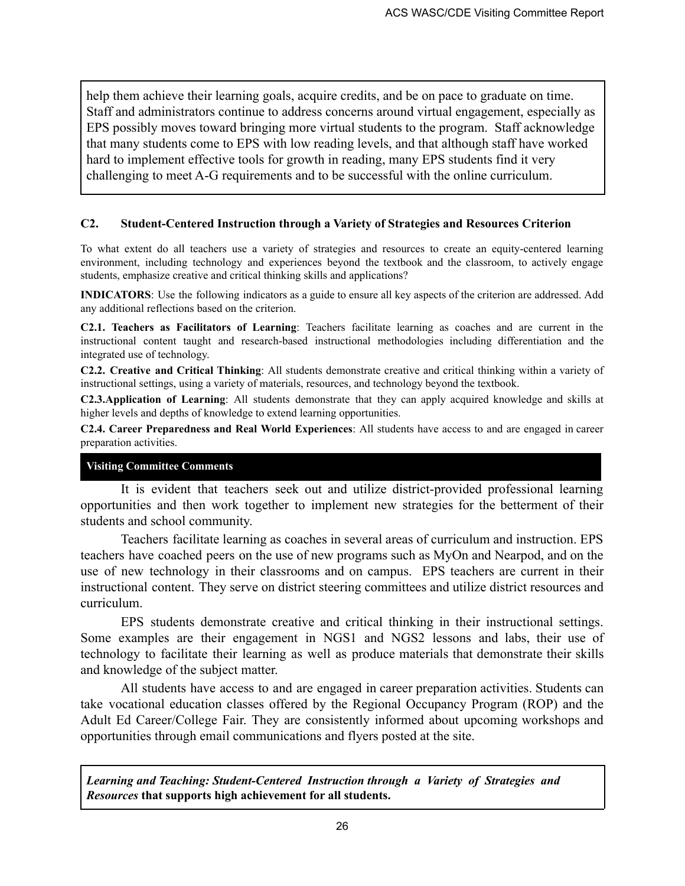help them achieve their learning goals, acquire credits, and be on pace to graduate on time. Staff and administrators continue to address concerns around virtual engagement, especially as EPS possibly moves toward bringing more virtual students to the program. Staff acknowledge that many students come to EPS with low reading levels, and that although staff have worked hard to implement effective tools for growth in reading, many EPS students find it very challenging to meet A-G requirements and to be successful with the online curriculum.

#### **C2. Student-Centered Instruction through a Variety of Strategies and Resources Criterion**

To what extent do all teachers use a variety of strategies and resources to create an equity-centered learning environment, including technology and experiences beyond the textbook and the classroom, to actively engage students, emphasize creative and critical thinking skills and applications?

**INDICATORS**: Use the following indicators as a guide to ensure all key aspects of the criterion are addressed. Add any additional reflections based on the criterion.

**C2.1. Teachers as Facilitators of Learning**: Teachers facilitate learning as coaches and are current in the instructional content taught and research-based instructional methodologies including differentiation and the integrated use of technology.

**C2.2. Creative and Critical Thinking**: All students demonstrate creative and critical thinking within a variety of instructional settings, using a variety of materials, resources, and technology beyond the textbook.

**C2.3.Application of Learning**: All students demonstrate that they can apply acquired knowledge and skills at higher levels and depths of knowledge to extend learning opportunities.

**C2.4. Career Preparedness and Real World Experiences**: All students have access to and are engaged in career preparation activities.

#### **Visiting Committee Comments**

It is evident that teachers seek out and utilize district-provided professional learning opportunities and then work together to implement new strategies for the betterment of their students and school community.

Teachers facilitate learning as coaches in several areas of curriculum and instruction. EPS teachers have coached peers on the use of new programs such as MyOn and Nearpod, and on the use of new technology in their classrooms and on campus. EPS teachers are current in their instructional content. They serve on district steering committees and utilize district resources and curriculum.

EPS students demonstrate creative and critical thinking in their instructional settings. Some examples are their engagement in NGS1 and NGS2 lessons and labs, their use of technology to facilitate their learning as well as produce materials that demonstrate their skills and knowledge of the subject matter.

All students have access to and are engaged in career preparation activities. Students can take vocational education classes offered by the Regional Occupancy Program (ROP) and the Adult Ed Career/College Fair. They are consistently informed about upcoming workshops and opportunities through email communications and flyers posted at the site.

*Learning and Teaching: Student-Centered Instruction through a Variety of Strategies and Resources* **that supports high achievement for all students.**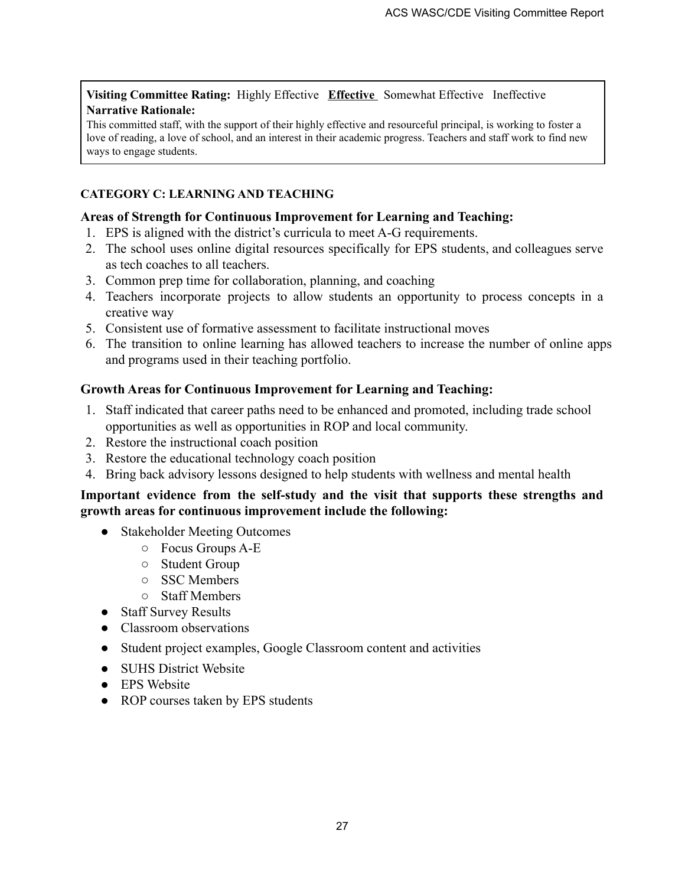**Visiting Committee Rating:** Highly Effective **Effective** Somewhat Effective Ineffective **Narrative Rationale:**

This committed staff, with the support of their highly effective and resourceful principal, is working to foster a love of reading, a love of school, and an interest in their academic progress. Teachers and staff work to find new ways to engage students.

# **CATEGORY C: LEARNING AND TEACHING**

### **Areas of Strength for Continuous Improvement for Learning and Teaching:**

- 1. EPS is aligned with the district's curricula to meet A-G requirements.
- 2. The school uses online digital resources specifically for EPS students, and colleagues serve as tech coaches to all teachers.
- 3. Common prep time for collaboration, planning, and coaching
- 4. Teachers incorporate projects to allow students an opportunity to process concepts in a creative way
- 5. Consistent use of formative assessment to facilitate instructional moves
- 6. The transition to online learning has allowed teachers to increase the number of online apps and programs used in their teaching portfolio.

### **Growth Areas for Continuous Improvement for Learning and Teaching:**

- 1. Staff indicated that career paths need to be enhanced and promoted, including trade school opportunities as well as opportunities in ROP and local community.
- 2. Restore the instructional coach position
- 3. Restore the educational technology coach position
- 4. Bring back advisory lessons designed to help students with wellness and mental health

### **Important evidence from the self-study and the visit that supports these strengths and growth areas for continuous improvement include the following:**

- Stakeholder Meeting Outcomes
	- Focus Groups A-E
	- Student Group
	- SSC Members
	- Staff Members
- Staff Survey Results
- Classroom observations
- Student project examples, Google Classroom content and activities
- SUHS District Website
- EPS Website
- ROP courses taken by EPS students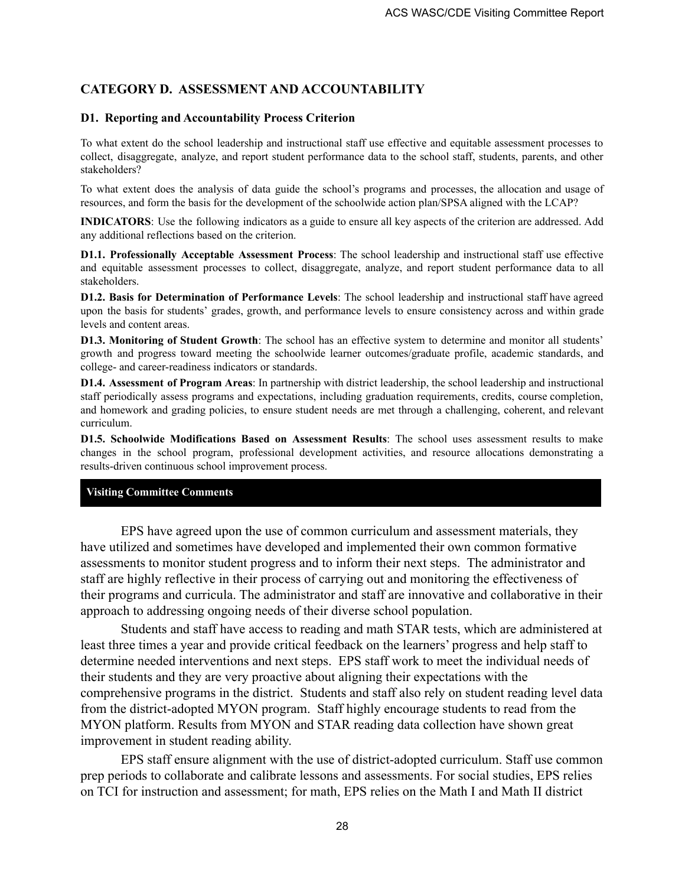# **CATEGORY D. ASSESSMENT AND ACCOUNTABILITY**

### **D1. Reporting and Accountability Process Criterion**

To what extent do the school leadership and instructional staff use effective and equitable assessment processes to collect, disaggregate, analyze, and report student performance data to the school staff, students, parents, and other stakeholders?

To what extent does the analysis of data guide the school's programs and processes, the allocation and usage of resources, and form the basis for the development of the schoolwide action plan/SPSA aligned with the LCAP?

**INDICATORS**: Use the following indicators as a guide to ensure all key aspects of the criterion are addressed. Add any additional reflections based on the criterion.

**D1.1. Professionally Acceptable Assessment Process**: The school leadership and instructional staff use effective and equitable assessment processes to collect, disaggregate, analyze, and report student performance data to all stakeholders.

**D1.2. Basis for Determination of Performance Levels**: The school leadership and instructional staff have agreed upon the basis for students' grades, growth, and performance levels to ensure consistency across and within grade levels and content areas.

**D1.3. Monitoring of Student Growth**: The school has an effective system to determine and monitor all students' growth and progress toward meeting the schoolwide learner outcomes/graduate profile, academic standards, and college- and career-readiness indicators or standards.

**D1.4. Assessment of Program Areas**: In partnership with district leadership, the school leadership and instructional staff periodically assess programs and expectations, including graduation requirements, credits, course completion, and homework and grading policies, to ensure student needs are met through a challenging, coherent, and relevant curriculum.

**D1.5. Schoolwide Modifications Based on Assessment Results**: The school uses assessment results to make changes in the school program, professional development activities, and resource allocations demonstrating a results-driven continuous school improvement process.

### **Visiting Committee Comments**

EPS have agreed upon the use of common curriculum and assessment materials, they have utilized and sometimes have developed and implemented their own common formative assessments to monitor student progress and to inform their next steps. The administrator and staff are highly reflective in their process of carrying out and monitoring the effectiveness of their programs and curricula. The administrator and staff are innovative and collaborative in their approach to addressing ongoing needs of their diverse school population.

Students and staff have access to reading and math STAR tests, which are administered at least three times a year and provide critical feedback on the learners' progress and help staff to determine needed interventions and next steps. EPS staff work to meet the individual needs of their students and they are very proactive about aligning their expectations with the comprehensive programs in the district. Students and staff also rely on student reading level data from the district-adopted MYON program. Staff highly encourage students to read from the MYON platform. Results from MYON and STAR reading data collection have shown great improvement in student reading ability.

EPS staff ensure alignment with the use of district-adopted curriculum. Staff use common prep periods to collaborate and calibrate lessons and assessments. For social studies, EPS relies on TCI for instruction and assessment; for math, EPS relies on the Math I and Math II district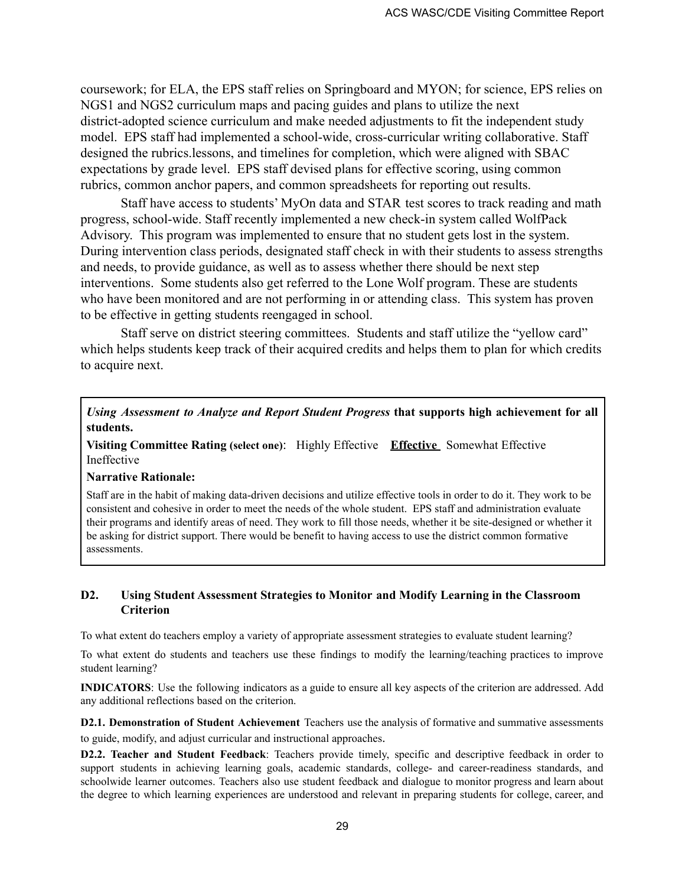coursework; for ELA, the EPS staff relies on Springboard and MYON; for science, EPS relies on NGS1 and NGS2 curriculum maps and pacing guides and plans to utilize the next district-adopted science curriculum and make needed adjustments to fit the independent study model. EPS staff had implemented a school-wide, cross-curricular writing collaborative. Staff designed the rubrics.lessons, and timelines for completion, which were aligned with SBAC expectations by grade level. EPS staff devised plans for effective scoring, using common rubrics, common anchor papers, and common spreadsheets for reporting out results.

Staff have access to students' MyOn data and STAR test scores to track reading and math progress, school-wide. Staff recently implemented a new check-in system called WolfPack Advisory. This program was implemented to ensure that no student gets lost in the system. During intervention class periods, designated staff check in with their students to assess strengths and needs, to provide guidance, as well as to assess whether there should be next step interventions. Some students also get referred to the Lone Wolf program. These are students who have been monitored and are not performing in or attending class. This system has proven to be effective in getting students reengaged in school.

Staff serve on district steering committees. Students and staff utilize the "yellow card" which helps students keep track of their acquired credits and helps them to plan for which credits to acquire next.

*Using Assessment to Analyze and Report Student Progress* **that supports high achievement for all students.**

**Visiting Committee Rating (select one)**: Highly Effective **Effective** Somewhat Effective Ineffective

#### **Narrative Rationale:**

Staff are in the habit of making data-driven decisions and utilize effective tools in order to do it. They work to be consistent and cohesive in order to meet the needs of the whole student. EPS staff and administration evaluate their programs and identify areas of need. They work to fill those needs, whether it be site-designed or whether it be asking for district support. There would be benefit to having access to use the district common formative assessments.

#### **D2. Using Student Assessment Strategies to Monitor and Modify Learning in the Classroom Criterion**

To what extent do teachers employ a variety of appropriate assessment strategies to evaluate student learning?

To what extent do students and teachers use these findings to modify the learning/teaching practices to improve student learning?

**INDICATORS**: Use the following indicators as a guide to ensure all key aspects of the criterion are addressed. Add any additional reflections based on the criterion.

**D2.1. Demonstration of Student Achievement** Teachers use the analysis of formative and summative assessments to guide, modify, and adjust curricular and instructional approaches.

**D2.2. Teacher and Student Feedback**: Teachers provide timely, specific and descriptive feedback in order to support students in achieving learning goals, academic standards, college- and career-readiness standards, and schoolwide learner outcomes. Teachers also use student feedback and dialogue to monitor progress and learn about the degree to which learning experiences are understood and relevant in preparing students for college, career, and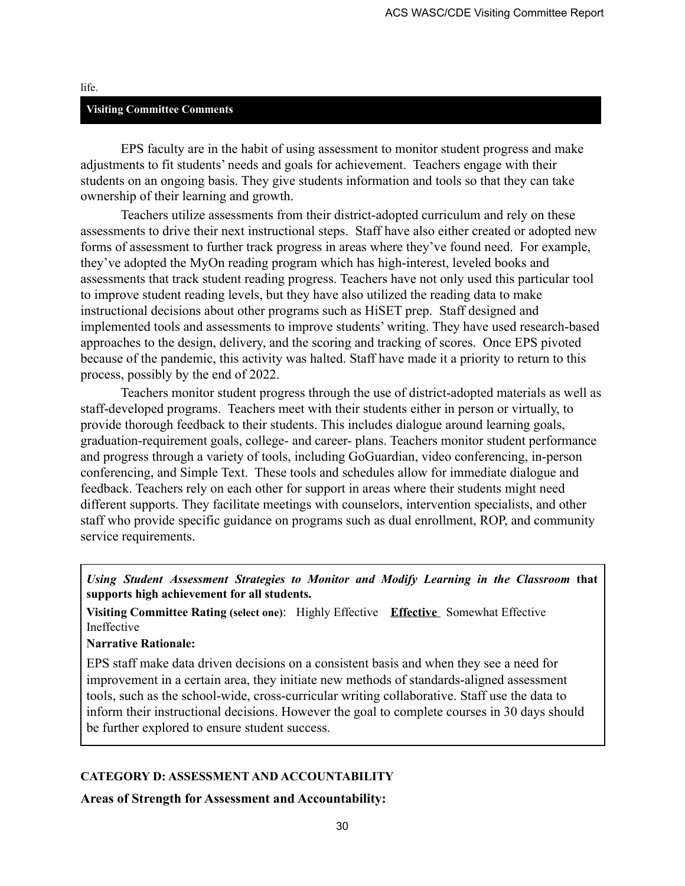#### life.

#### **Visiting Committee Comments**

EPS faculty are in the habit of using assessment to monitor student progress and make adjustments to fit students' needs and goals for achievement. Teachers engage with their students on an ongoing basis. They give students information and tools so that they can take ownership of their learning and growth.

Teachers utilize assessments from their district-adopted curriculum and rely on these assessments to drive their next instructional steps. Staff have also either created or adopted new forms of assessment to further track progress in areas where they've found need. For example, they've adopted the MyOn reading program which has high-interest, leveled books and assessments that track student reading progress. Teachers have not only used this particular tool to improve student reading levels, but they have also utilized the reading data to make instructional decisions about other programs such as HiSET prep. Staff designed and implemented tools and assessments to improve students' writing. They have used research-based approaches to the design, delivery, and the scoring and tracking of scores. Once EPS pivoted because of the pandemic, this activity was halted. Staff have made it a priority to return to this process, possibly by the end of 2022.

Teachers monitor student progress through the use of district-adopted materials as well as staff-developed programs. Teachers meet with their students either in person or virtually, to provide thorough feedback to their students. This includes dialogue around learning goals, graduation-requirement goals, college- and career- plans. Teachers monitor student performance and progress through a variety of tools, including GoGuardian, video conferencing, in-person conferencing, and Simple Text. These tools and schedules allow for immediate dialogue and feedback. Teachers rely on each other for support in areas where their students might need different supports. They facilitate meetings with counselors, intervention specialists, and other staff who provide specific guidance on programs such as dual enrollment, ROP, and community service requirements.

*Using Student Assessment Strategies to Monitor and Modify Learning in the Classroom* **that supports high achievement for all students.**

**Visiting Committee Rating (select one)**: Highly Effective **Effective** Somewhat Effective Ineffective

**Narrative Rationale:**

EPS staff make data driven decisions on a consistent basis and when they see a need for improvement in a certain area, they initiate new methods of standards-aligned assessment tools, such as the school-wide, cross-curricular writing collaborative. Staff use the data to inform their instructional decisions. However the goal to complete courses in 30 days should be further explored to ensure student success.

#### **CATEGORY D: ASSESSMENT AND ACCOUNTABILITY**

**Areas of Strength for Assessment and Accountability:**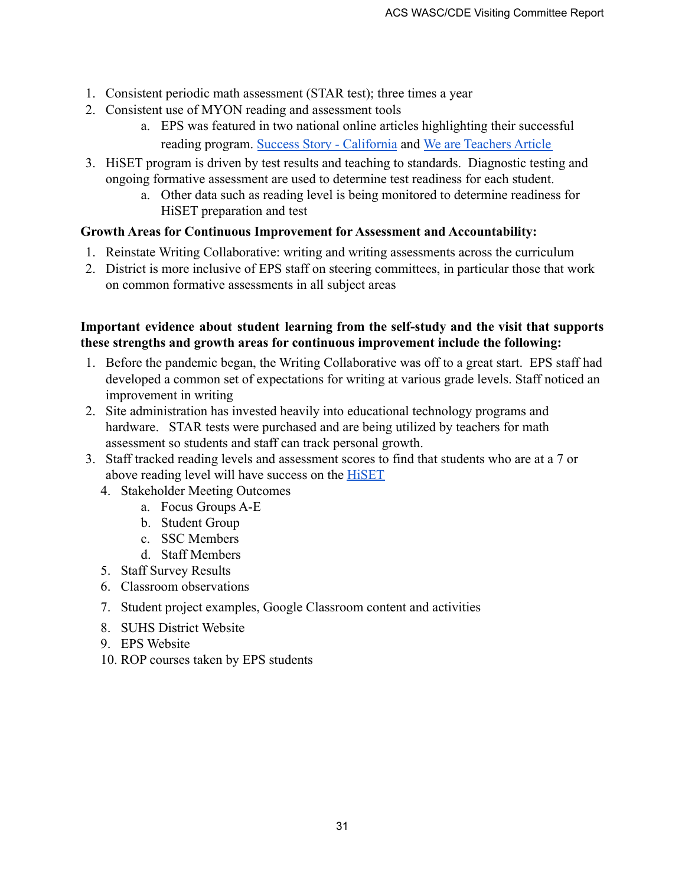- 1. Consistent periodic math assessment (STAR test); three times a year
- 2. Consistent use of MYON reading and assessment tools
	- a. EPS was featured in two national online articles highlighting their successful reading program. [Success Story - California](https://www.renaissance.com/success/ca-salinas-el-puente-school/) and We [are Teachers Article](https://www.weareteachers.com/help-readers/)
- 3. HiSET program is driven by test results and teaching to standards. Diagnostic testing and ongoing formative assessment are used to determine test readiness for each student.
	- a. Other data such as reading level is being monitored to determine readiness for HiSET preparation and test

# **Growth Areas for Continuous Improvement for Assessment and Accountability:**

- 1. Reinstate Writing Collaborative: writing and writing assessments across the curriculum
- 2. District is more inclusive of EPS staff on steering committees, in particular those that work on common formative assessments in all subject areas

# **Important evidence about student learning from the self-study and the visit that supports these strengths and growth areas for continuous improvement include the following:**

- 1. Before the pandemic began, the Writing Collaborative was off to a great start. EPS staff had developed a common set of expectations for writing at various grade levels. Staff noticed an improvement in writing
- 2. Site administration has invested heavily into educational technology programs and hardware. STAR tests were purchased and are being utilized by teachers for math assessment so students and staff can track personal growth.
- 3. Staff tracked reading levels and assessment scores to find that students who are at a 7 or above reading level will have success on the [HiSET](https://docs.google.com/document/d/1O4ci7TX3QO8HF7e1_mdijxv5sxbzuJSO/edit?usp=sharing&ouid=112616776346893147842&rtpof=true&sd=true)
	- 4. Stakeholder Meeting Outcomes
		- a. Focus Groups A-E
		- b. Student Group
		- c. SSC Members
		- d. Staff Members
	- 5. Staff Survey Results
	- 6. Classroom observations
	- 7. Student project examples, Google Classroom content and activities
	- 8. SUHS District Website
	- 9. EPS Website
	- 10. ROP courses taken by EPS students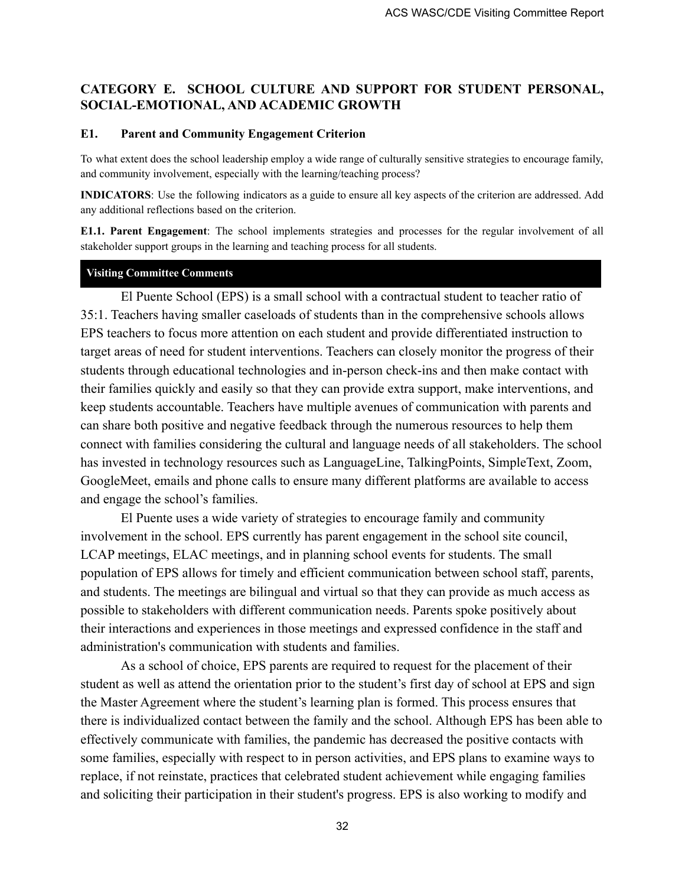# **CATEGORY E. SCHOOL CULTURE AND SUPPORT FOR STUDENT PERSONAL, SOCIAL-EMOTIONAL, AND ACADEMIC GROWTH**

### **E1. Parent and Community Engagement Criterion**

To what extent does the school leadership employ a wide range of culturally sensitive strategies to encourage family, and community involvement, especially with the learning/teaching process?

**INDICATORS**: Use the following indicators as a guide to ensure all key aspects of the criterion are addressed. Add any additional reflections based on the criterion.

**E1.1. Parent Engagement**: The school implements strategies and processes for the regular involvement of all stakeholder support groups in the learning and teaching process for all students.

### **Visiting Committee Comments**

El Puente School (EPS) is a small school with a contractual student to teacher ratio of 35:1. Teachers having smaller caseloads of students than in the comprehensive schools allows EPS teachers to focus more attention on each student and provide differentiated instruction to target areas of need for student interventions. Teachers can closely monitor the progress of their students through educational technologies and in-person check-ins and then make contact with their families quickly and easily so that they can provide extra support, make interventions, and keep students accountable. Teachers have multiple avenues of communication with parents and can share both positive and negative feedback through the numerous resources to help them connect with families considering the cultural and language needs of all stakeholders. The school has invested in technology resources such as LanguageLine, TalkingPoints, SimpleText, Zoom, GoogleMeet, emails and phone calls to ensure many different platforms are available to access and engage the school's families.

El Puente uses a wide variety of strategies to encourage family and community involvement in the school. EPS currently has parent engagement in the school site council, LCAP meetings, ELAC meetings, and in planning school events for students. The small population of EPS allows for timely and efficient communication between school staff, parents, and students. The meetings are bilingual and virtual so that they can provide as much access as possible to stakeholders with different communication needs. Parents spoke positively about their interactions and experiences in those meetings and expressed confidence in the staff and administration's communication with students and families.

As a school of choice, EPS parents are required to request for the placement of their student as well as attend the orientation prior to the student's first day of school at EPS and sign the Master Agreement where the student's learning plan is formed. This process ensures that there is individualized contact between the family and the school. Although EPS has been able to effectively communicate with families, the pandemic has decreased the positive contacts with some families, especially with respect to in person activities, and EPS plans to examine ways to replace, if not reinstate, practices that celebrated student achievement while engaging families and soliciting their participation in their student's progress. EPS is also working to modify and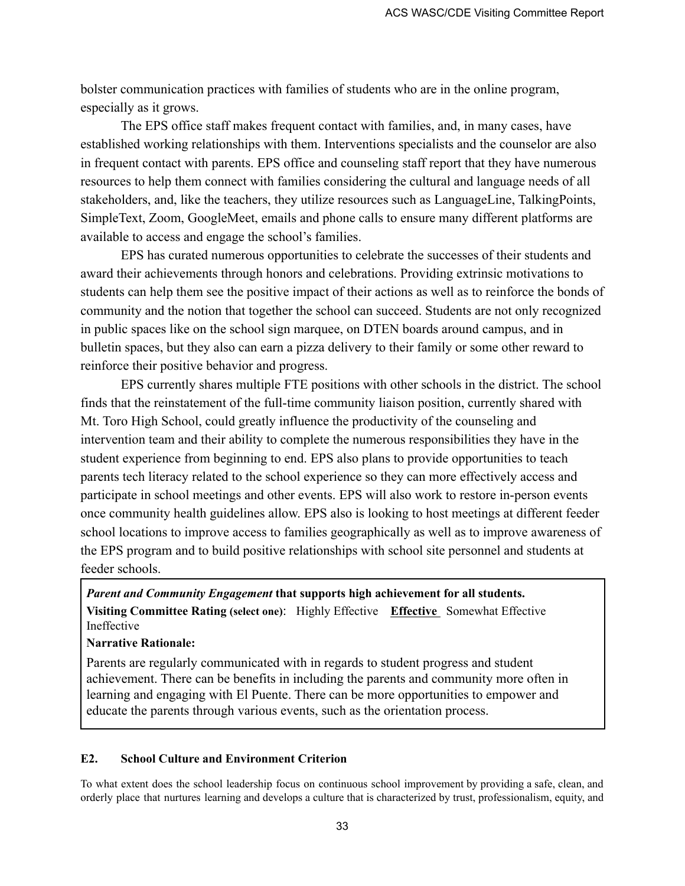bolster communication practices with families of students who are in the online program, especially as it grows.

The EPS office staff makes frequent contact with families, and, in many cases, have established working relationships with them. Interventions specialists and the counselor are also in frequent contact with parents. EPS office and counseling staff report that they have numerous resources to help them connect with families considering the cultural and language needs of all stakeholders, and, like the teachers, they utilize resources such as LanguageLine, TalkingPoints, SimpleText, Zoom, GoogleMeet, emails and phone calls to ensure many different platforms are available to access and engage the school's families.

EPS has curated numerous opportunities to celebrate the successes of their students and award their achievements through honors and celebrations. Providing extrinsic motivations to students can help them see the positive impact of their actions as well as to reinforce the bonds of community and the notion that together the school can succeed. Students are not only recognized in public spaces like on the school sign marquee, on DTEN boards around campus, and in bulletin spaces, but they also can earn a pizza delivery to their family or some other reward to reinforce their positive behavior and progress.

EPS currently shares multiple FTE positions with other schools in the district. The school finds that the reinstatement of the full-time community liaison position, currently shared with Mt. Toro High School, could greatly influence the productivity of the counseling and intervention team and their ability to complete the numerous responsibilities they have in the student experience from beginning to end. EPS also plans to provide opportunities to teach parents tech literacy related to the school experience so they can more effectively access and participate in school meetings and other events. EPS will also work to restore in-person events once community health guidelines allow. EPS also is looking to host meetings at different feeder school locations to improve access to families geographically as well as to improve awareness of the EPS program and to build positive relationships with school site personnel and students at feeder schools.

*Parent and Community Engagement* **that supports high achievement for all students. Visiting Committee Rating (select one)**: Highly Effective **Effective** Somewhat Effective Ineffective

### **Narrative Rationale:**

Parents are regularly communicated with in regards to student progress and student achievement. There can be benefits in including the parents and community more often in learning and engaging with El Puente. There can be more opportunities to empower and educate the parents through various events, such as the orientation process.

#### **E2. School Culture and Environment Criterion**

To what extent does the school leadership focus on continuous school improvement by providing a safe, clean, and orderly place that nurtures learning and develops a culture that is characterized by trust, professionalism, equity, and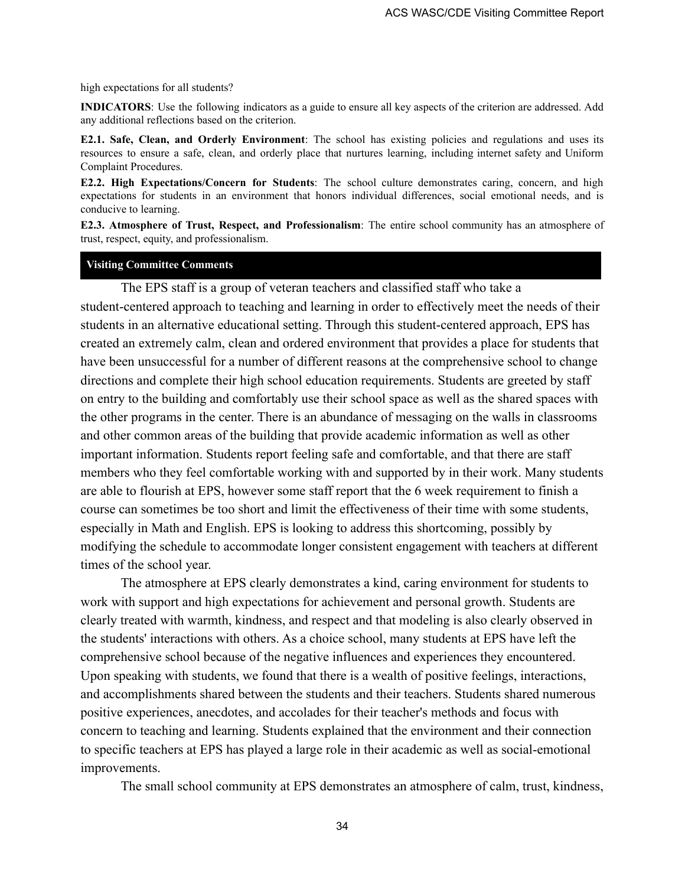high expectations for all students?

**INDICATORS**: Use the following indicators as a guide to ensure all key aspects of the criterion are addressed. Add any additional reflections based on the criterion.

**E2.1. Safe, Clean, and Orderly Environment**: The school has existing policies and regulations and uses its resources to ensure a safe, clean, and orderly place that nurtures learning, including internet safety and Uniform Complaint Procedures.

**E2.2. High Expectations/Concern for Students**: The school culture demonstrates caring, concern, and high expectations for students in an environment that honors individual differences, social emotional needs, and is conducive to learning.

**E2.3. Atmosphere of Trust, Respect, and Professionalism**: The entire school community has an atmosphere of trust, respect, equity, and professionalism.

#### **Visiting Committee Comments**

The EPS staff is a group of veteran teachers and classified staff who take a student-centered approach to teaching and learning in order to effectively meet the needs of their students in an alternative educational setting. Through this student-centered approach, EPS has created an extremely calm, clean and ordered environment that provides a place for students that have been unsuccessful for a number of different reasons at the comprehensive school to change directions and complete their high school education requirements. Students are greeted by staff on entry to the building and comfortably use their school space as well as the shared spaces with the other programs in the center. There is an abundance of messaging on the walls in classrooms and other common areas of the building that provide academic information as well as other important information. Students report feeling safe and comfortable, and that there are staff members who they feel comfortable working with and supported by in their work. Many students are able to flourish at EPS, however some staff report that the 6 week requirement to finish a course can sometimes be too short and limit the effectiveness of their time with some students, especially in Math and English. EPS is looking to address this shortcoming, possibly by modifying the schedule to accommodate longer consistent engagement with teachers at different times of the school year.

The atmosphere at EPS clearly demonstrates a kind, caring environment for students to work with support and high expectations for achievement and personal growth. Students are clearly treated with warmth, kindness, and respect and that modeling is also clearly observed in the students' interactions with others. As a choice school, many students at EPS have left the comprehensive school because of the negative influences and experiences they encountered. Upon speaking with students, we found that there is a wealth of positive feelings, interactions, and accomplishments shared between the students and their teachers. Students shared numerous positive experiences, anecdotes, and accolades for their teacher's methods and focus with concern to teaching and learning. Students explained that the environment and their connection to specific teachers at EPS has played a large role in their academic as well as social-emotional improvements.

The small school community at EPS demonstrates an atmosphere of calm, trust, kindness,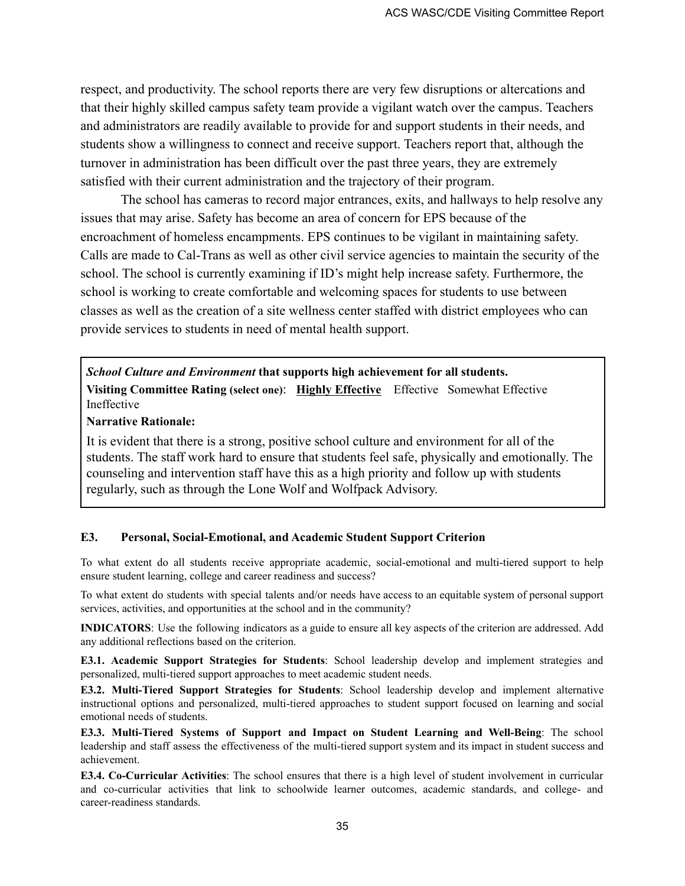respect, and productivity. The school reports there are very few disruptions or altercations and that their highly skilled campus safety team provide a vigilant watch over the campus. Teachers and administrators are readily available to provide for and support students in their needs, and students show a willingness to connect and receive support. Teachers report that, although the turnover in administration has been difficult over the past three years, they are extremely satisfied with their current administration and the trajectory of their program.

The school has cameras to record major entrances, exits, and hallways to help resolve any issues that may arise. Safety has become an area of concern for EPS because of the encroachment of homeless encampments. EPS continues to be vigilant in maintaining safety. Calls are made to Cal-Trans as well as other civil service agencies to maintain the security of the school. The school is currently examining if ID's might help increase safety. Furthermore, the school is working to create comfortable and welcoming spaces for students to use between classes as well as the creation of a site wellness center staffed with district employees who can provide services to students in need of mental health support.

*School Culture and Environment* **that supports high achievement for all students. Visiting Committee Rating (select one)**: **Highly Effective** Effective Somewhat Effective Ineffective

#### **Narrative Rationale:**

It is evident that there is a strong, positive school culture and environment for all of the students. The staff work hard to ensure that students feel safe, physically and emotionally. The counseling and intervention staff have this as a high priority and follow up with students regularly, such as through the Lone Wolf and Wolfpack Advisory.

#### **E3. Personal, Social-Emotional, and Academic Student Support Criterion**

To what extent do all students receive appropriate academic, social-emotional and multi-tiered support to help ensure student learning, college and career readiness and success?

To what extent do students with special talents and/or needs have access to an equitable system of personal support services, activities, and opportunities at the school and in the community?

**INDICATORS**: Use the following indicators as a guide to ensure all key aspects of the criterion are addressed. Add any additional reflections based on the criterion.

**E3.1. Academic Support Strategies for Students**: School leadership develop and implement strategies and personalized, multi-tiered support approaches to meet academic student needs.

**E3.2. Multi-Tiered Support Strategies for Students**: School leadership develop and implement alternative instructional options and personalized, multi-tiered approaches to student support focused on learning and social emotional needs of students.

**E3.3. Multi-Tiered Systems of Support and Impact on Student Learning and Well-Being**: The school leadership and staff assess the effectiveness of the multi-tiered support system and its impact in student success and achievement.

**E3.4. Co-Curricular Activities**: The school ensures that there is a high level of student involvement in curricular and co-curricular activities that link to schoolwide learner outcomes, academic standards, and college- and career-readiness standards.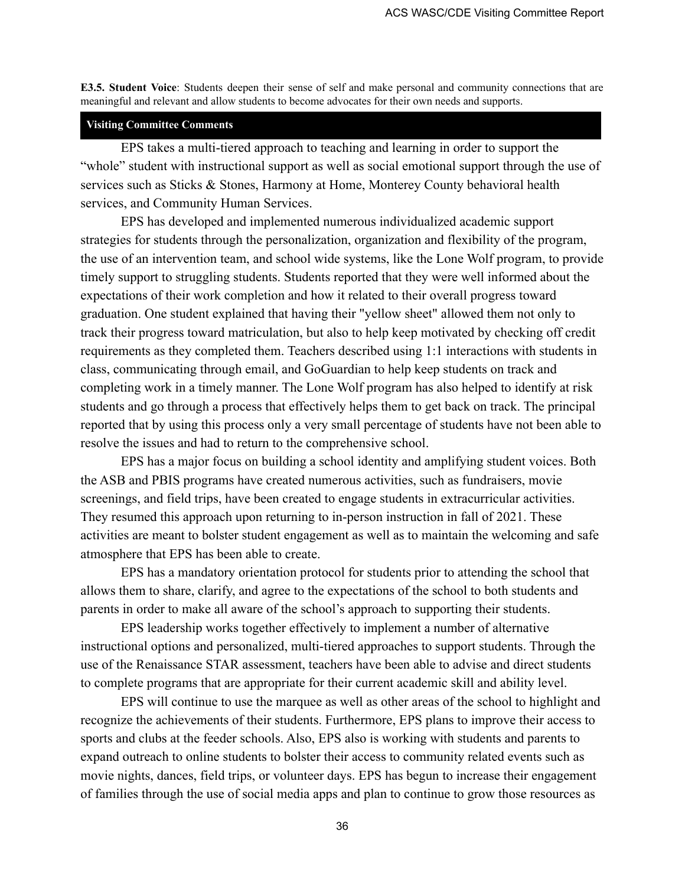**E3.5. Student Voice**: Students deepen their sense of self and make personal and community connections that are meaningful and relevant and allow students to become advocates for their own needs and supports.

#### **Visiting Committee Comments**

EPS takes a multi-tiered approach to teaching and learning in order to support the "whole" student with instructional support as well as social emotional support through the use of services such as Sticks & Stones, Harmony at Home, Monterey County behavioral health services, and Community Human Services.

EPS has developed and implemented numerous individualized academic support strategies for students through the personalization, organization and flexibility of the program, the use of an intervention team, and school wide systems, like the Lone Wolf program, to provide timely support to struggling students. Students reported that they were well informed about the expectations of their work completion and how it related to their overall progress toward graduation. One student explained that having their "yellow sheet" allowed them not only to track their progress toward matriculation, but also to help keep motivated by checking off credit requirements as they completed them. Teachers described using 1:1 interactions with students in class, communicating through email, and GoGuardian to help keep students on track and completing work in a timely manner. The Lone Wolf program has also helped to identify at risk students and go through a process that effectively helps them to get back on track. The principal reported that by using this process only a very small percentage of students have not been able to resolve the issues and had to return to the comprehensive school.

EPS has a major focus on building a school identity and amplifying student voices. Both the ASB and PBIS programs have created numerous activities, such as fundraisers, movie screenings, and field trips, have been created to engage students in extracurricular activities. They resumed this approach upon returning to in-person instruction in fall of 2021. These activities are meant to bolster student engagement as well as to maintain the welcoming and safe atmosphere that EPS has been able to create.

EPS has a mandatory orientation protocol for students prior to attending the school that allows them to share, clarify, and agree to the expectations of the school to both students and parents in order to make all aware of the school's approach to supporting their students.

EPS leadership works together effectively to implement a number of alternative instructional options and personalized, multi-tiered approaches to support students. Through the use of the Renaissance STAR assessment, teachers have been able to advise and direct students to complete programs that are appropriate for their current academic skill and ability level.

EPS will continue to use the marquee as well as other areas of the school to highlight and recognize the achievements of their students. Furthermore, EPS plans to improve their access to sports and clubs at the feeder schools. Also, EPS also is working with students and parents to expand outreach to online students to bolster their access to community related events such as movie nights, dances, field trips, or volunteer days. EPS has begun to increase their engagement of families through the use of social media apps and plan to continue to grow those resources as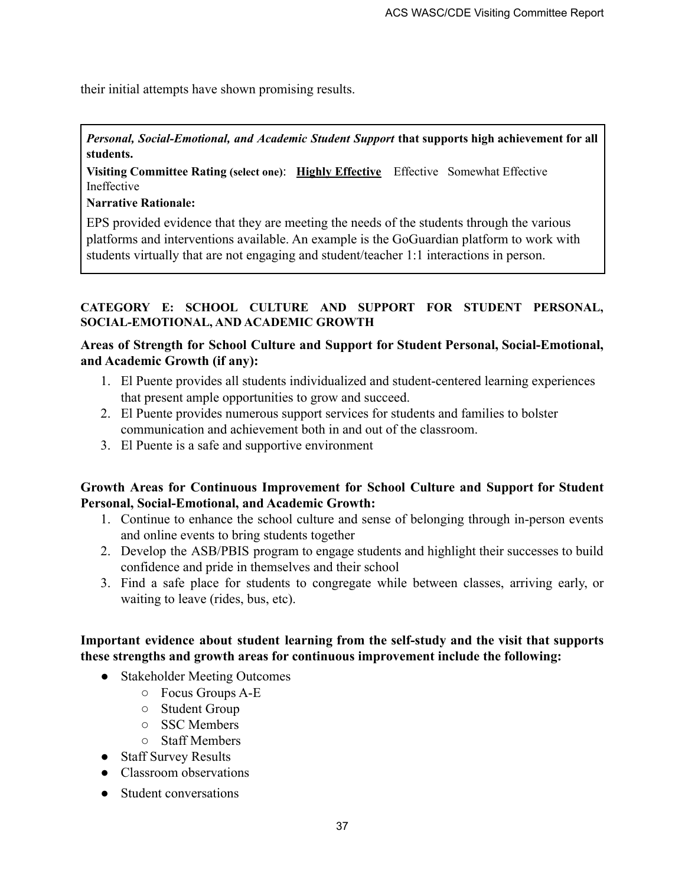their initial attempts have shown promising results.

*Personal, Social-Emotional, and Academic Student Support* **that supports high achievement for all students.**

**Visiting Committee Rating (select one)**: **Highly Effective** Effective Somewhat Effective Ineffective

**Narrative Rationale:**

EPS provided evidence that they are meeting the needs of the students through the various platforms and interventions available. An example is the GoGuardian platform to work with students virtually that are not engaging and student/teacher 1:1 interactions in person.

### **CATEGORY E: SCHOOL CULTURE AND SUPPORT FOR STUDENT PERSONAL, SOCIAL-EMOTIONAL, AND ACADEMIC GROWTH**

# **Areas of Strength for School Culture and Support for Student Personal, Social-Emotional, and Academic Growth (if any):**

- 1. El Puente provides all students individualized and student-centered learning experiences that present ample opportunities to grow and succeed.
- 2. El Puente provides numerous support services for students and families to bolster communication and achievement both in and out of the classroom.
- 3. El Puente is a safe and supportive environment

### **Growth Areas for Continuous Improvement for School Culture and Support for Student Personal, Social-Emotional, and Academic Growth:**

- 1. Continue to enhance the school culture and sense of belonging through in-person events and online events to bring students together
- 2. Develop the ASB/PBIS program to engage students and highlight their successes to build confidence and pride in themselves and their school
- 3. Find a safe place for students to congregate while between classes, arriving early, or waiting to leave (rides, bus, etc).

### **Important evidence about student learning from the self-study and the visit that supports these strengths and growth areas for continuous improvement include the following:**

- Stakeholder Meeting Outcomes
	- Focus Groups A-E
	- Student Group
	- SSC Members
	- Staff Members
- Staff Survey Results
- Classroom observations
- Student conversations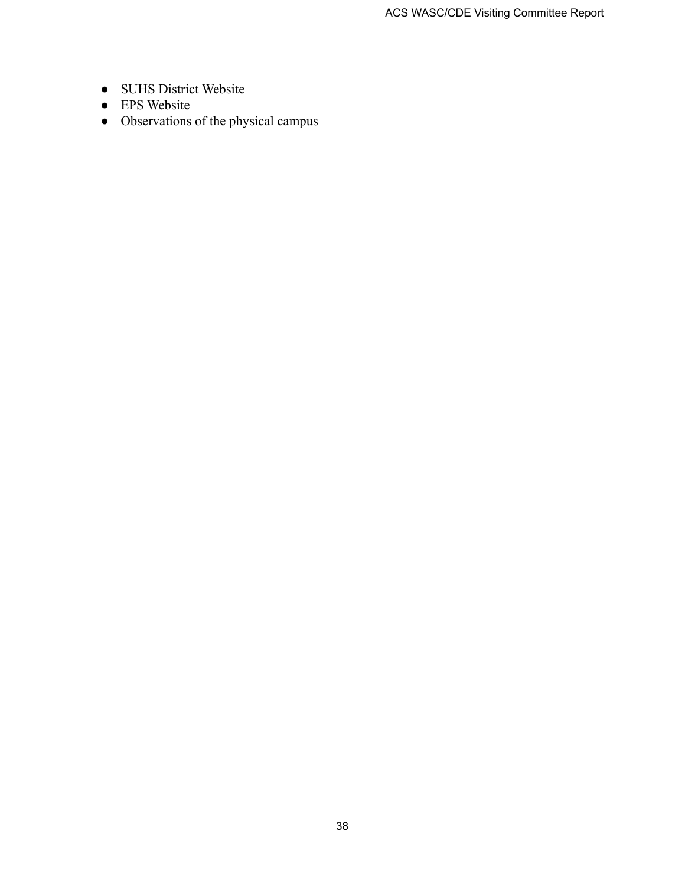- SUHS District Website
- EPS Website
- Observations of the physical campus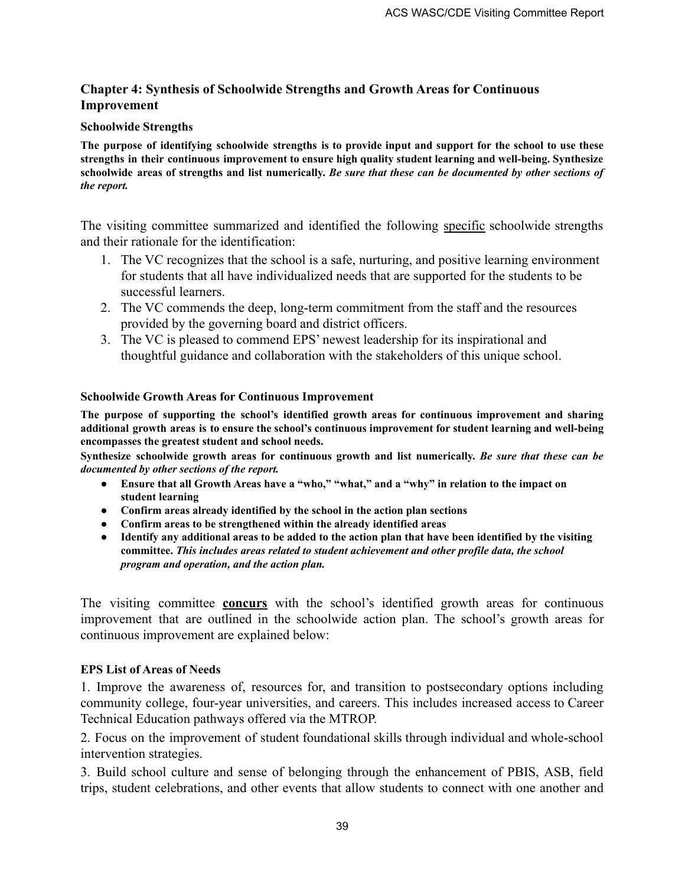### **Chapter 4: Synthesis of Schoolwide Strengths and Growth Areas for Continuous Improvement**

#### **Schoolwide Strengths**

The purpose of identifying schoolwide strengths is to provide input and support for the school to use these **strengths in their continuous improvement to ensure high quality student learning and well-being. Synthesize** schoolwide areas of strengths and list numerically. Be sure that these can be documented by other sections of *the report.*

The visiting committee summarized and identified the following specific schoolwide strengths and their rationale for the identification:

- 1. The VC recognizes that the school is a safe, nurturing, and positive learning environment for students that all have individualized needs that are supported for the students to be successful learners.
- 2. The VC commends the deep, long-term commitment from the staff and the resources provided by the governing board and district officers.
- 3. The VC is pleased to commend EPS' newest leadership for its inspirational and thoughtful guidance and collaboration with the stakeholders of this unique school.

### **Schoolwide Growth Areas for Continuous Improvement**

**The purpose of supporting the school's identified growth areas for continuous improvement and sharing additional growth areas is to ensure the school's continuous improvement for student learning and well-being encompasses the greatest student and school needs.**

**Synthesize schoolwide growth areas for continuous growth and list numerically.** *Be sure that these can be documented by other sections of the report.*

- Ensure that all Growth Areas have a "who," "what," and a "why" in relation to the impact on **student learning**
- **● Confirm areas already identified by the school in the action plan sections**
- **● Confirm areas to be strengthened within the already identified areas**
- Identify any additional areas to be added to the action plan that have been identified by the visiting **committee.** *This includes areas related to student achievement and other profile data, the school program and operation, and the action plan.*

The visiting committee **concurs** with the school's identified growth areas for continuous improvement that are outlined in the schoolwide action plan. The school's growth areas for continuous improvement are explained below:

#### **EPS List of Areas of Needs**

1. Improve the awareness of, resources for, and transition to postsecondary options including community college, four-year universities, and careers. This includes increased access to Career Technical Education pathways offered via the MTROP.

2. Focus on the improvement of student foundational skills through individual and whole-school intervention strategies.

3. Build school culture and sense of belonging through the enhancement of PBIS, ASB, field trips, student celebrations, and other events that allow students to connect with one another and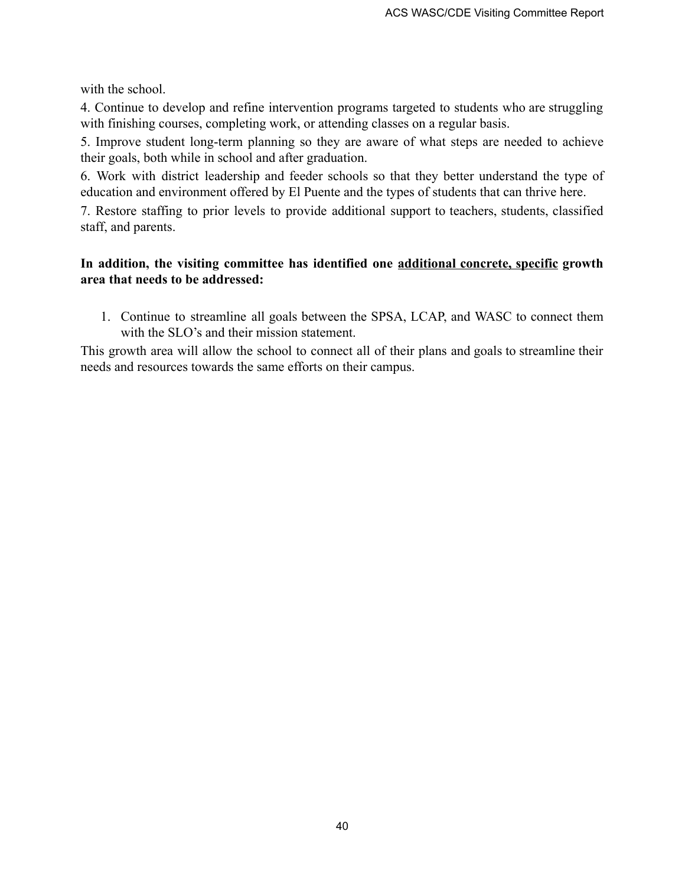with the school.

4. Continue to develop and refine intervention programs targeted to students who are struggling with finishing courses, completing work, or attending classes on a regular basis.

5. Improve student long-term planning so they are aware of what steps are needed to achieve their goals, both while in school and after graduation.

6. Work with district leadership and feeder schools so that they better understand the type of education and environment offered by El Puente and the types of students that can thrive here.

7. Restore staffing to prior levels to provide additional support to teachers, students, classified staff, and parents.

### **In addition, the visiting committee has identified one additional concrete, specific growth area that needs to be addressed:**

1. Continue to streamline all goals between the SPSA, LCAP, and WASC to connect them with the SLO's and their mission statement.

This growth area will allow the school to connect all of their plans and goals to streamline their needs and resources towards the same efforts on their campus.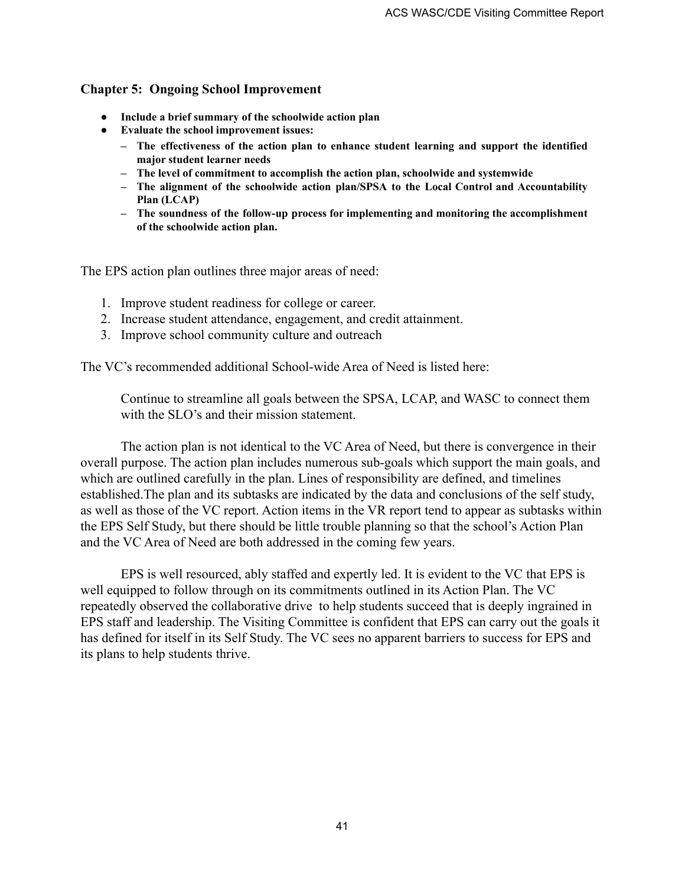### **Chapter 5: Ongoing School Improvement**

- **● Include a brief summary of the schoolwide action plan**
- **● Evaluate the school improvement issues:**
	- **– The effectiveness of the action plan to enhance student learning and support the identified major student learner needs**
	- **– The level of commitment to accomplish the action plan, schoolwide and systemwide**
	- **– The alignment of the schoolwide action plan/SPSA to the Local Control and Accountability Plan (LCAP)**
	- **– The soundness of the follow-up process for implementing and monitoring the accomplishment of the schoolwide action plan.**

The EPS action plan outlines three major areas of need:

- 1. Improve student readiness for college or career.
- 2. Increase student attendance, engagement, and credit attainment.
- 3. Improve school community culture and outreach

The VC's recommended additional School-wide Area of Need is listed here:

Continue to streamline all goals between the SPSA, LCAP, and WASC to connect them with the SLO's and their mission statement.

The action plan is not identical to the VC Area of Need, but there is convergence in their overall purpose. The action plan includes numerous sub-goals which support the main goals, and which are outlined carefully in the plan. Lines of responsibility are defined, and timelines established.The plan and its subtasks are indicated by the data and conclusions of the self study, as well as those of the VC report. Action items in the VR report tend to appear as subtasks within the EPS Self Study, but there should be little trouble planning so that the school's Action Plan and the VC Area of Need are both addressed in the coming few years.

EPS is well resourced, ably staffed and expertly led. It is evident to the VC that EPS is well equipped to follow through on its commitments outlined in its Action Plan. The VC repeatedly observed the collaborative drive to help students succeed that is deeply ingrained in EPS staff and leadership. The Visiting Committee is confident that EPS can carry out the goals it has defined for itself in its Self Study. The VC sees no apparent barriers to success for EPS and its plans to help students thrive.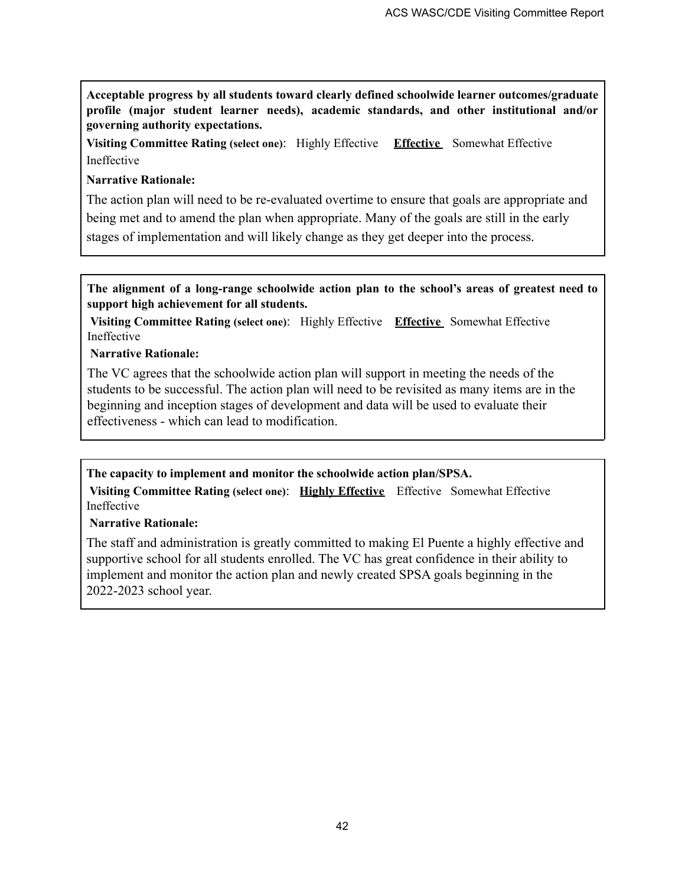**Acceptable progress by all students toward clearly defined schoolwide learner outcomes/graduate profile (major student learner needs), academic standards, and other institutional and/or governing authority expectations.**

**Visiting Committee Rating (select one)**: Highly Effective **Effective** Somewhat Effective Ineffective

### **Narrative Rationale:**

The action plan will need to be re-evaluated overtime to ensure that goals are appropriate and being met and to amend the plan when appropriate. Many of the goals are still in the early stages of implementation and will likely change as they get deeper into the process.

**The alignment of a long-range schoolwide action plan to the school's areas of greatest need to support high achievement for all students.**

**Visiting Committee Rating (select one)**: Highly Effective **Effective** Somewhat Effective Ineffective

### **Narrative Rationale:**

The VC agrees that the schoolwide action plan will support in meeting the needs of the students to be successful. The action plan will need to be revisited as many items are in the beginning and inception stages of development and data will be used to evaluate their effectiveness - which can lead to modification.

### **The capacity to implement and monitor the schoolwide action plan/SPSA.**

**Visiting Committee Rating (select one)**: **Highly Effective** Effective Somewhat Effective Ineffective

### **Narrative Rationale:**

The staff and administration is greatly committed to making El Puente a highly effective and supportive school for all students enrolled. The VC has great confidence in their ability to implement and monitor the action plan and newly created SPSA goals beginning in the 2022-2023 school year.